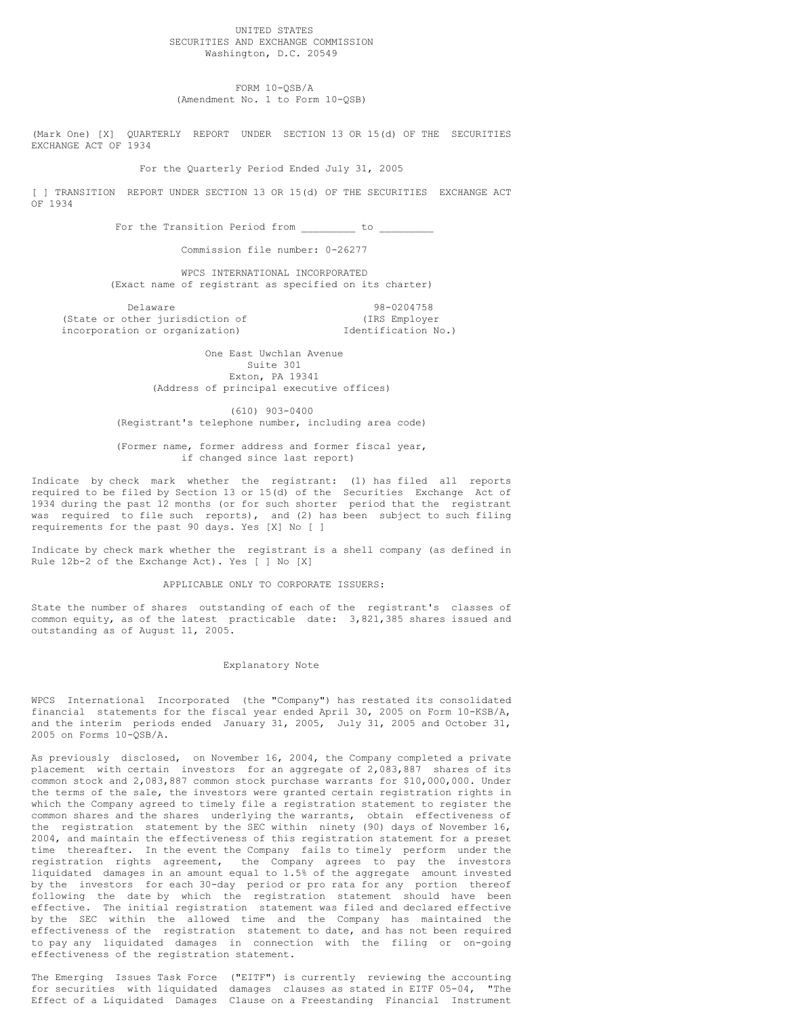### UNITED STATES SECURITIES AND EXCHANGE COMMISSION Washington, D.C. 20549

### FORM 10-QSB/A (Amendment No. 1 to Form 10-QSB)

(Mark One) [X] QUARTERLY REPORT UNDER SECTION 13 OR 15(d) OF THE SECURITIES EXCHANGE ACT OF 1934

For the Quarterly Period Ended July 31, 2005

[ ] TRANSITION REPORT UNDER SECTION 13 OR 15(d) OF THE SECURITIES EXCHANGE ACT OF 1934

For the Transition Period from to to

Commission file number: 0-26277

WPCS INTERNATIONAL INCORPORATED (Exact name of registrant as specified on its charter)

Delaware 98-0204758<br>
Delaware 98-0204758<br>
(IRS Employer (IRS Employer (State or other jurisdiction of incorporation or organization) Identification No.)

One East Uwchlan Avenue Suite 301 Exton, PA 19341 (Address of principal executive offices)

(610) 903-0400 (Registrant's telephone number, including area code)

(Former name, former address and former fiscal year, if changed since last report)

Indicate by check mark whether the registrant: (1) has filed all reports required to be filed by Section 13 or 15(d) of the Securities Exchange Act of 1934 during the past 12 months (or for such shorter period that the registrant was required to file such reports), and (2) has been subject to such filing requirements for the past 90 days. Yes [X] No [ ]

Indicate by check mark whether the registrant is a shell company (as defined in Rule 12b-2 of the Exchange Act). Yes [ ] No [X]

APPLICABLE ONLY TO CORPORATE ISSUERS:

State the number of shares outstanding of each of the registrant's classes of common equity, as of the latest practicable date: 3,821,385 shares issued and outstanding as of August 11, 2005.

#### Explanatory Note

WPCS International Incorporated (the "Company") has restated its consolidated financial statements for the fiscal year ended April 30, 2005 on Form 10-KSB/A, and the interim periods ended January 31, 2005, July 31, 2005 and October 31, 2005 on Forms 10-QSB/A.

As previously disclosed, on November 16, 2004, the Company completed a private placement with certain investors for an aggregate of 2,083,887 shares of its common stock and 2,083,887 common stock purchase warrants for \$10,000,000. Under the terms of the sale, the investors were granted certain registration rights in which the Company agreed to timely file a registration statement to register the common shares and the shares underlying the warrants, obtain effectiveness of the registration statement by the SEC within ninety (90) days of November 16, 2004, and maintain the effectiveness of this registration statement for a preset time thereafter. In the event the Company fails to timely perform under the registration rights agreement, the Company agrees to pay the investors liquidated damages in an amount equal to 1.5% of the aggregate amount invested by the investors for each 30-day period or pro rata for any portion thereof following the date by which the registration statement should have been effective. The initial registration statement was filed and declared effective by the SEC within the allowed time and the Company has maintained the effectiveness of the registration statement to date, and has not been required to pay any liquidated damages in connection with the filing or on-going effectiveness of the registration statement.

The Emerging Issues Task Force ("EITF") is currently reviewing the accounting for securities with liquidated damages clauses as stated in EITF 05-04, "The Effect of a Liquidated Damages Clause on a Freestanding Financial Instrument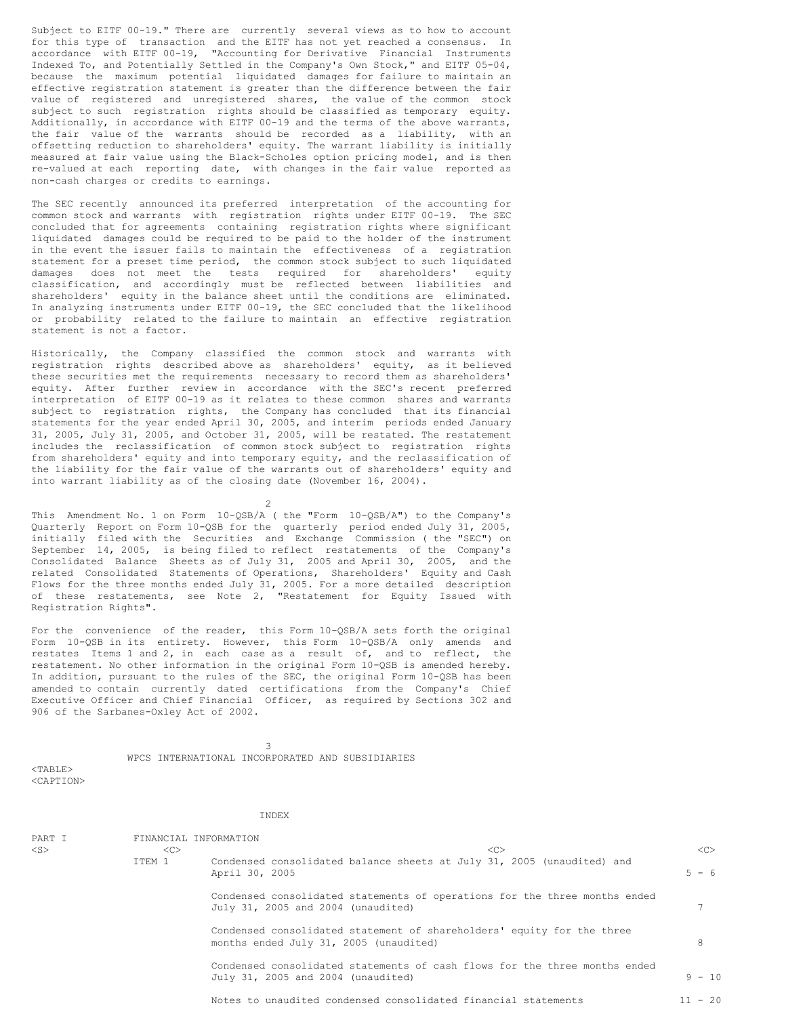Subject to EITF 00-19." There are currently several views as to how to account for this type of transaction and the EITF has not yet reached a consensus. In accordance with EITF 00-19, "Accounting for Derivative Financial Instruments Indexed To, and Potentially Settled in the Company's Own Stock," and EITF 05-04, because the maximum potential liquidated damages for failure to maintain an effective registration statement is greater than the difference between the fair value of registered and unregistered shares, the value of the common stock subject to such registration rights should be classified as temporary equity. Additionally, in accordance with EITF 00-19 and the terms of the above warrants, the fair value of the warrants should be recorded as a liability, with an offsetting reduction to shareholders' equity. The warrant liability is initially measured at fair value using the Black-Scholes option pricing model, and is then re-valued at each reporting date, with changes in the fair value reported as non-cash charges or credits to earnings.

The SEC recently announced its preferred interpretation of the accounting for common stock and warrants with registration rights under EITF 00-19. The SEC concluded that for agreements containing registration rights where significant liquidated damages could be required to be paid to the holder of the instrument in the event the issuer fails to maintain the effectiveness of a registration statement for a preset time period, the common stock subject to such liquidated damages does not meet the tests required for shareholders' equity classification, and accordingly must be reflected between liabilities and shareholders' equity in the balance sheet until the conditions are eliminated. In analyzing instruments under EITF 00-19, the SEC concluded that the likelihood or probability related to the failure to maintain an effective registration statement is not a factor.

Historically, the Company classified the common stock and warrants with registration rights described above as shareholders' equity, as it believed these securities met the requirements necessary to record them as shareholders' equity. After further review in accordance with the SEC's recent preferred interpretation of EITF 00-19 as it relates to these common shares and warrants subject to registration rights, the Company has concluded that its financial statements for the year ended April 30, 2005, and interim periods ended January 31, 2005, July 31, 2005, and October 31, 2005, will be restated. The restatement includes the reclassification of common stock subject to registration rights from shareholders' equity and into temporary equity, and the reclassification of the liability for the fair value of the warrants out of shareholders' equity and into warrant liability as of the closing date (November 16, 2004).

This Amendment No. 1 on Form 10-QSB/A ( the "Form 10-QSB/A") to the Company's Quarterly Report on Form 10-QSB for the quarterly period ended July 31, 2005, initially filed with the Securities and Exchange Commission ( the "SEC") on September 14, 2005, is being filed to reflect restatements of the Company's Consolidated Balance Sheets as of July 31, 2005 and April 30, 2005, and the related Consolidated Statements of Operations, Shareholders' Equity and Cash Flows for the three months ended July 31, 2005. For a more detailed description of these restatements, see Note 2, "Restatement for Equity Issued with Registration Rights".

 $\mathcal{P}$ 

For the convenience of the reader, this Form 10-QSB/A sets forth the original Form 10-QSB in its entirety. However, this Form 10-QSB/A only amends and restates Items 1 and 2, in each case as a result of, and to reflect, the restatement. No other information in the original Form 10-QSB is amended hereby. In addition, pursuant to the rules of the SEC, the original Form 10-QSB has been amended to contain currently dated certifications from the Company's Chief Executive Officer and Chief Financial Officer, as required by Sections 302 and 906 of the Sarbanes-Oxley Act of 2002.

> 3 WPCS INTERNATIONAL INCORPORATED AND SUBSIDIARIES

 $<$ TABLE> <CAPTION>

# INDEX

| PART I    | FINANCIAL INFORMATION |                                                                                                                  |               |
|-----------|-----------------------|------------------------------------------------------------------------------------------------------------------|---------------|
| $<$ S $>$ | < <sub></sub>         | < <sub></sub>                                                                                                    | < <sub></sub> |
|           | ITEM 1                | Condensed consolidated balance sheets at July 31, 2005 (unaudited) and<br>April 30, 2005                         | $5 - 6$       |
|           |                       | Condensed consolidated statements of operations for the three months ended<br>July 31, 2005 and 2004 (unaudited) |               |
|           |                       | Condensed consolidated statement of shareholders' equity for the three<br>months ended July 31, 2005 (unaudited) |               |
|           |                       | Condensed consolidated statements of cash flows for the three months ended<br>July 31, 2005 and 2004 (unaudited) | $9 - 10$      |
|           |                       | Notes to unaudited condensed consolidated financial statements                                                   | $11 - 20$     |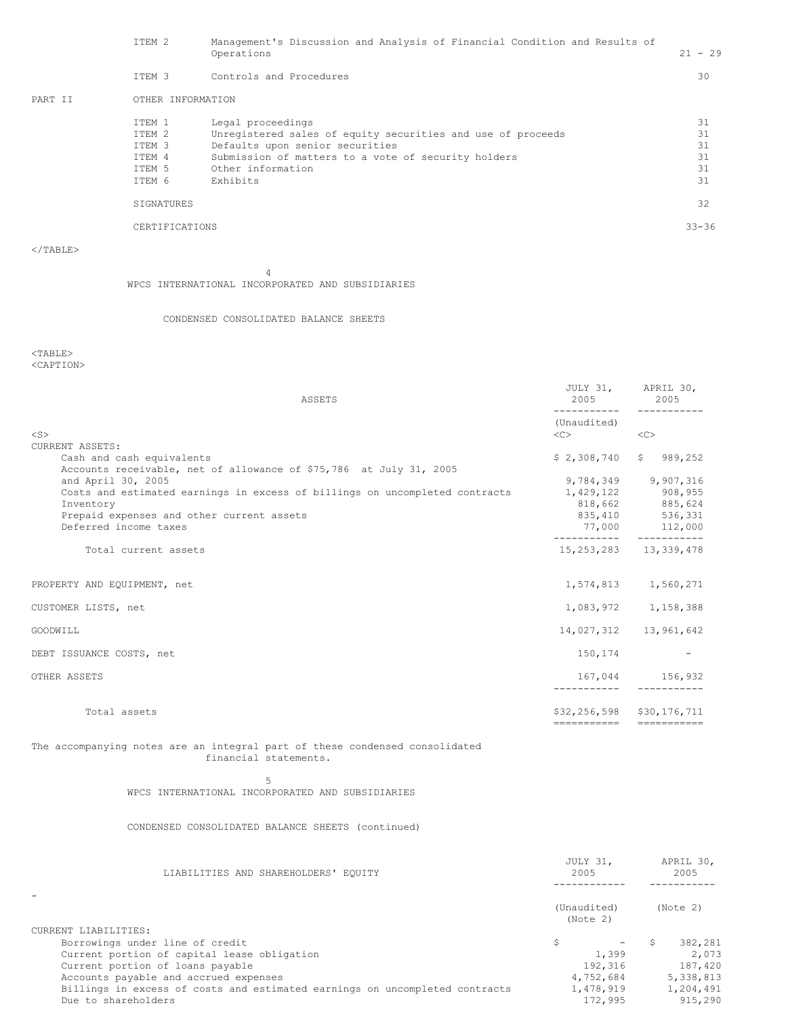|         | ITEM 2                     | Management's Discussion and Analysis of Financial Condition and Results of<br>Operations                            | $21 - 29$      |
|---------|----------------------------|---------------------------------------------------------------------------------------------------------------------|----------------|
|         | TTEM 3                     | Controls and Procedures                                                                                             | 30             |
| PART II | OTHER INFORMATION          |                                                                                                                     |                |
|         | ITEM 1<br>ITEM 2<br>ITEM 3 | Legal proceedings<br>Unregistered sales of equity securities and use of proceeds<br>Defaults upon senior securities | 31<br>31<br>31 |
|         | ITEM 4<br>ITEM 5<br>ITEM 6 | Submission of matters to a vote of security holders<br>Other information<br>Exhibits                                | 31<br>31<br>31 |
|         | SIGNATURES                 |                                                                                                                     | 32             |
|         | CERTIFICATIONS             |                                                                                                                     | $33 - 36$      |

 $<$ /TABLE>

4 WPCS INTERNATIONAL INCORPORATED AND SUBSIDIARIES

# CONDENSED CONSOLIDATED BALANCE SHEETS

<TABLE> <CAPTION>

| ASSETS                                                                      | 2005                    | JULY 31, APRIL 30,<br>2005               |
|-----------------------------------------------------------------------------|-------------------------|------------------------------------------|
| $<$ S $>$                                                                   | (Unaudited)<br>$<<$ $>$ | <<                                       |
| CURRENT ASSETS:                                                             |                         |                                          |
| Cash and cash equivalents                                                   |                         | $$2,308,740$ $$989,252$                  |
| Accounts receivable, net of allowance of \$75,786 at July 31, 2005          |                         |                                          |
| and April 30, 2005                                                          |                         | 9,784,349 9,907,316                      |
| Costs and estimated earnings in excess of billings on uncompleted contracts |                         | 1,429,122 908,955                        |
| Inventory                                                                   |                         | 818,662 885,624                          |
| Prepaid expenses and other current assets                                   |                         | 835,410 536,331                          |
| Deferred income taxes                                                       |                         | 77,000 112,000                           |
| Total current assets                                                        |                         | 15, 253, 283 13, 339, 478                |
| PROPERTY AND EQUIPMENT, net                                                 |                         | 1,574,813 1,560,271                      |
| CUSTOMER LISTS, net                                                         |                         | 1,083,972 1,158,388                      |
| GOODWILL                                                                    |                         | 14,027,312 13,961,642                    |
| DEBT ISSUANCE COSTS, net                                                    | 150,174                 |                                          |
| OTHER ASSETS                                                                |                         | 167,044 156,932                          |
| Total assets                                                                | ===========             | \$32,256,598 \$30,176,711<br>----------- |

The accompanying notes are an integral part of these condensed consolidated financial statements.

> 5 WPCS INTERNATIONAL INCORPORATED AND SUBSIDIARIES

CONDENSED CONSOLIDATED BALANCE SHEETS (continued)

| LIABILITIES AND SHAREHOLDERS' EQUITY                                        | JULY 31,<br>2005        | APRIL 30,<br>2005 |
|-----------------------------------------------------------------------------|-------------------------|-------------------|
|                                                                             | (Unaudited)<br>(Note 2) | (Note 2)          |
| CURRENT LIABILITIES:                                                        |                         |                   |
| Borrowings under line of credit                                             | \$                      | 382,281           |
| Current portion of capital lease obligation                                 | 1,399                   | 2,073             |
| Current portion of loans payable                                            | 192,316                 | 187,420           |
| Accounts payable and accrued expenses                                       | 4,752,684               | 5,338,813         |
| Billings in excess of costs and estimated earnings on uncompleted contracts | 1,478,919               | 1,204,491         |
| Due to shareholders                                                         | 172,995                 | 915,290           |
|                                                                             |                         |                   |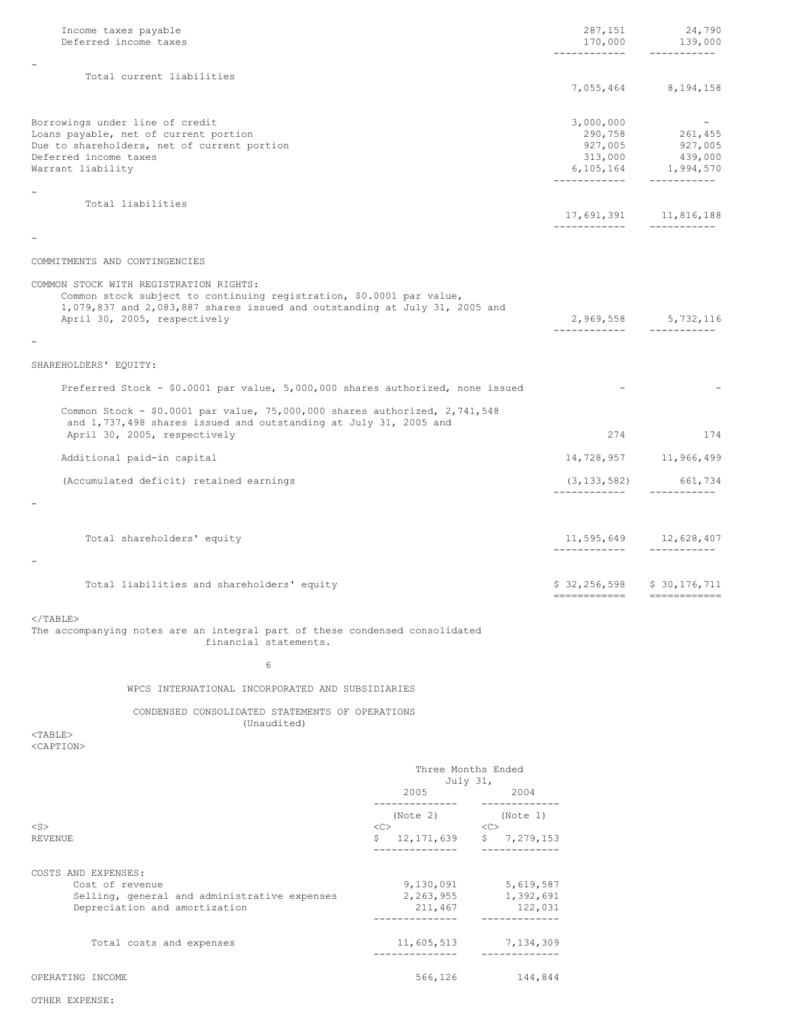| Income taxes payable<br>Deferred income taxes                                                                                                          |                                            |                                            | 287,151<br>170,000             | 24,790<br>139,000                     |
|--------------------------------------------------------------------------------------------------------------------------------------------------------|--------------------------------------------|--------------------------------------------|--------------------------------|---------------------------------------|
|                                                                                                                                                        |                                            |                                            | ------------                   | -----------                           |
| Total current liabilities                                                                                                                              |                                            |                                            | 7,055,464                      | 8,194,158                             |
|                                                                                                                                                        |                                            |                                            |                                |                                       |
| Borrowings under line of credit                                                                                                                        |                                            |                                            | 3,000,000                      |                                       |
| Loans payable, net of current portion                                                                                                                  |                                            |                                            | 290,758                        | 261,455                               |
| Due to shareholders, net of current portion<br>Deferred income taxes                                                                                   |                                            |                                            | 927,005<br>313,000             | 927,005<br>439,000                    |
| Warrant liability                                                                                                                                      |                                            |                                            | 6,105,164<br>-------------     | 1,994,570<br>-----------              |
|                                                                                                                                                        |                                            |                                            |                                |                                       |
| Total liabilities                                                                                                                                      |                                            |                                            |                                | 17,691,391 11,816,188                 |
|                                                                                                                                                        |                                            |                                            | ____________                   | -----------                           |
|                                                                                                                                                        |                                            |                                            |                                |                                       |
| COMMITMENTS AND CONTINGENCIES                                                                                                                          |                                            |                                            |                                |                                       |
| COMMON STOCK WITH REGISTRATION RIGHTS:                                                                                                                 |                                            |                                            |                                |                                       |
| Common stock subject to continuing registration, \$0.0001 par value,<br>$1,079,837$ and $2,083,887$ shares issued and outstanding at July 31, 2005 and |                                            |                                            |                                |                                       |
| April 30, 2005, respectively                                                                                                                           |                                            |                                            | -------------                  | 2,969,558 5,732,116<br>-----------    |
|                                                                                                                                                        |                                            |                                            |                                |                                       |
| SHAREHOLDERS' EQUITY:                                                                                                                                  |                                            |                                            |                                |                                       |
| Preferred Stock - \$0.0001 par value, 5,000,000 shares authorized, none issued                                                                         |                                            |                                            |                                |                                       |
| Common Stock - \$0.0001 par value, $75,000,000$ shares authorized, $2,741,548$                                                                         |                                            |                                            |                                |                                       |
| and 1,737,498 shares issued and outstanding at July 31, 2005 and<br>April 30, 2005, respectively                                                       |                                            |                                            | 274                            | 174                                   |
|                                                                                                                                                        |                                            |                                            |                                |                                       |
| Additional paid-in capital                                                                                                                             |                                            |                                            |                                | 14,728,957 11,966,499                 |
| (Accumulated deficit) retained earnings                                                                                                                |                                            |                                            | (3, 133, 582)<br>------------- | 661,734<br>-----------                |
|                                                                                                                                                        |                                            |                                            |                                |                                       |
|                                                                                                                                                        |                                            |                                            |                                |                                       |
| Total shareholders' equity                                                                                                                             |                                            |                                            | -------------                  | 11,595,649 12,628,407<br>------------ |
|                                                                                                                                                        |                                            |                                            |                                |                                       |
| Total liabilities and shareholders' equity                                                                                                             |                                            |                                            | \$32, 256, 598                 | \$30, 176, 711                        |
|                                                                                                                                                        |                                            |                                            |                                | ==========================            |
| $<$ /TABLE><br>The accompanying notes are an integral part of these condensed consolidated                                                             |                                            |                                            |                                |                                       |
| financial statements.                                                                                                                                  |                                            |                                            |                                |                                       |
| 6                                                                                                                                                      |                                            |                                            |                                |                                       |
| WPCS INTERNATIONAL INCORPORATED AND SUBSIDIARIES                                                                                                       |                                            |                                            |                                |                                       |
| CONDENSED CONSOLIDATED STATEMENTS OF OPERATIONS                                                                                                        |                                            |                                            |                                |                                       |
| (Unaudited)<br>$<$ TABLE>                                                                                                                              |                                            |                                            |                                |                                       |
| <caption></caption>                                                                                                                                    |                                            |                                            |                                |                                       |
|                                                                                                                                                        | Three Months Ended                         |                                            |                                |                                       |
|                                                                                                                                                        | July $31,$<br>2005                         | 2004                                       |                                |                                       |
|                                                                                                                                                        | ---------------                            | -------------                              |                                |                                       |
| $<$ S $>$                                                                                                                                              | (Mote 2)<br><<                             | (Note 1)<br>$<<$ C $>$                     |                                |                                       |
| REVENUE                                                                                                                                                | Ş.<br>--------------         ------------- | 12, 171, 639 \$ 7, 279, 153                |                                |                                       |
|                                                                                                                                                        |                                            |                                            |                                |                                       |
| COSTS AND EXPENSES:<br>Cost of revenue                                                                                                                 |                                            |                                            |                                |                                       |
| Selling, general and administrative expenses                                                                                                           |                                            | 9,130,091 5,619,587<br>2,263,955 1,392,691 |                                |                                       |
| Depreciation and amortization                                                                                                                          | --------------                             | 211,467 122,031<br>-------------           |                                |                                       |
|                                                                                                                                                        |                                            | 7,134,309                                  |                                |                                       |
| Total costs and expenses                                                                                                                               | 11,605,513<br>----------------             | -------------                              |                                |                                       |

OPERATING INCOME 144,844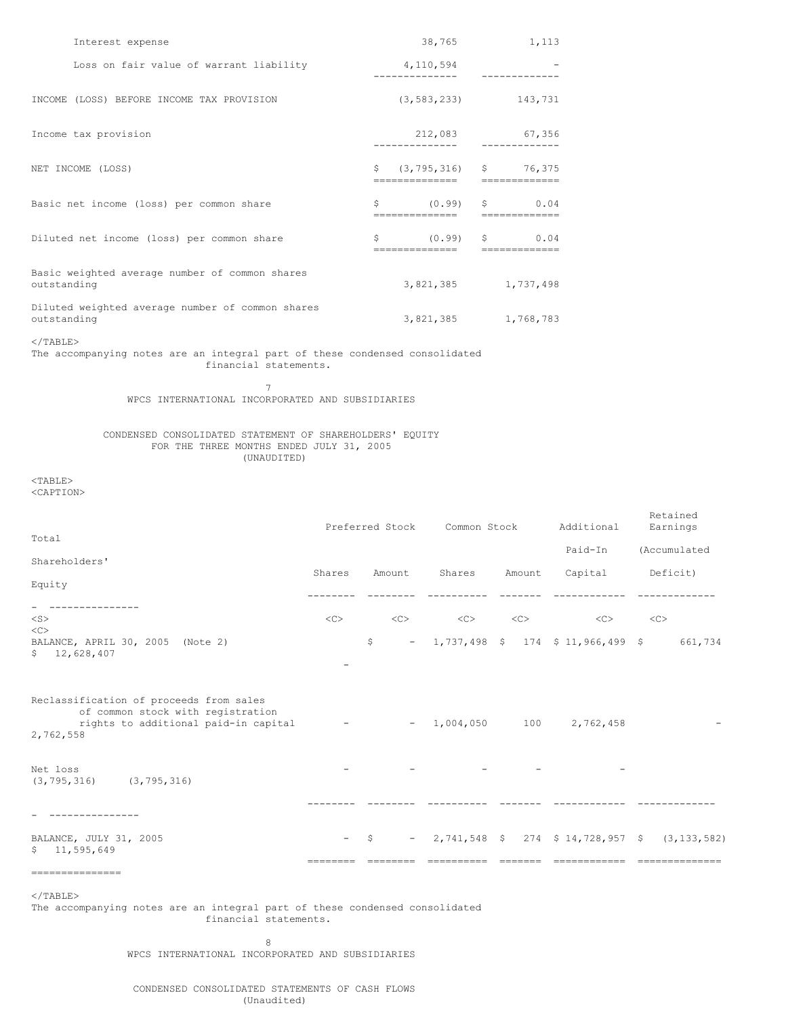| Interest expense                                                | 38,765                                              | 1,113                               |
|-----------------------------------------------------------------|-----------------------------------------------------|-------------------------------------|
| Loss on fair value of warrant liability                         | 4,110,594                                           |                                     |
| INCOME (LOSS) BEFORE INCOME TAX PROVISION                       | (3, 583, 233)                                       | 143,731                             |
| Income tax provision                                            | -------------                                       | 212,083 67,356<br>___________       |
| NET INCOME (LOSS)                                               | $$$ $(3, 795, 316)$ $$$ $76, 375$<br>============== | =============                       |
| Basic net income (loss) per common share                        | $S \qquad \qquad$<br>--------------                 | $(0.99)$ \$ $0.04$<br>============= |
| Diluted net income (loss) per common share                      | $$0.99$ \$ 0.04<br>------------                     | =============                       |
| Basic weighted average number of common shares<br>outstanding   | 3,821,385 1,737,498                                 |                                     |
| Diluted weighted average number of common shares<br>outstanding | 3,821,385 1,768,783                                 |                                     |

 $<$ /TABLE $>$ 

The accompanying notes are an integral part of these condensed consolidated financial statements.

> 7 WPCS INTERNATIONAL INCORPORATED AND SUBSIDIARIES

CONDENSED CONSOLIDATED STATEMENT OF SHAREHOLDERS' EQUITY FOR THE THREE MONTHS ENDED JULY 31, 2005 (UNAUDITED)

<TABLE> <CAPTION>

| Total                                                                                                                             |                                   | Preferred Stock | Common Stock     |           | Additional                 | Retained<br>Earnings                                          |  |
|-----------------------------------------------------------------------------------------------------------------------------------|-----------------------------------|-----------------|------------------|-----------|----------------------------|---------------------------------------------------------------|--|
|                                                                                                                                   |                                   |                 |                  |           | Paid-In                    | (Accumulated                                                  |  |
| Shareholders'                                                                                                                     | Shares                            | Amount          | Shares           | Amount    | Capital Deficit)           |                                                               |  |
| Equity                                                                                                                            |                                   |                 |                  |           |                            |                                                               |  |
| $\overline{\phantom{0}}$<br>$<$ S $>$<br><<                                                                                       | <<                                | $<<$ $<$ $>$    | $<<$ $<$ $<$ $>$ | < <c></c> | $<<$ C $>$                 | $<<$ C $>$                                                    |  |
| BALANCE, APRIL 30, 2005 (Note 2)<br>\$12,628,407                                                                                  |                                   | \$              |                  |           |                            | $-1,737,498$ \$ 174 \$ 11,966,499 \$ 661,734                  |  |
| Reclassification of proceeds from sales<br>of common stock with registration<br>rights to additional paid-in capital<br>2,762,558 | and the state of the state of the |                 |                  |           | $-1,004,050$ 100 2,762,458 |                                                               |  |
| Net loss<br>$(3, 795, 316)$ $(3, 795, 316)$                                                                                       |                                   |                 |                  |           |                            |                                                               |  |
| ---------------                                                                                                                   |                                   |                 |                  |           |                            |                                                               |  |
| BALANCE, JULY 31, 2005<br>\$11,595,649                                                                                            | $\overline{\phantom{a}}$          |                 |                  |           |                            | $\frac{1}{2}$ - 2,741,548 \$ 274 \$ 14,728,957 \$ (3,133,582) |  |
| ----------------                                                                                                                  |                                   |                 |                  |           |                            |                                                               |  |

 $<$ /TABLE $>$ 

The accompanying notes are an integral part of these condensed consolidated financial statements.

8

WPCS INTERNATIONAL INCORPORATED AND SUBSIDIARIES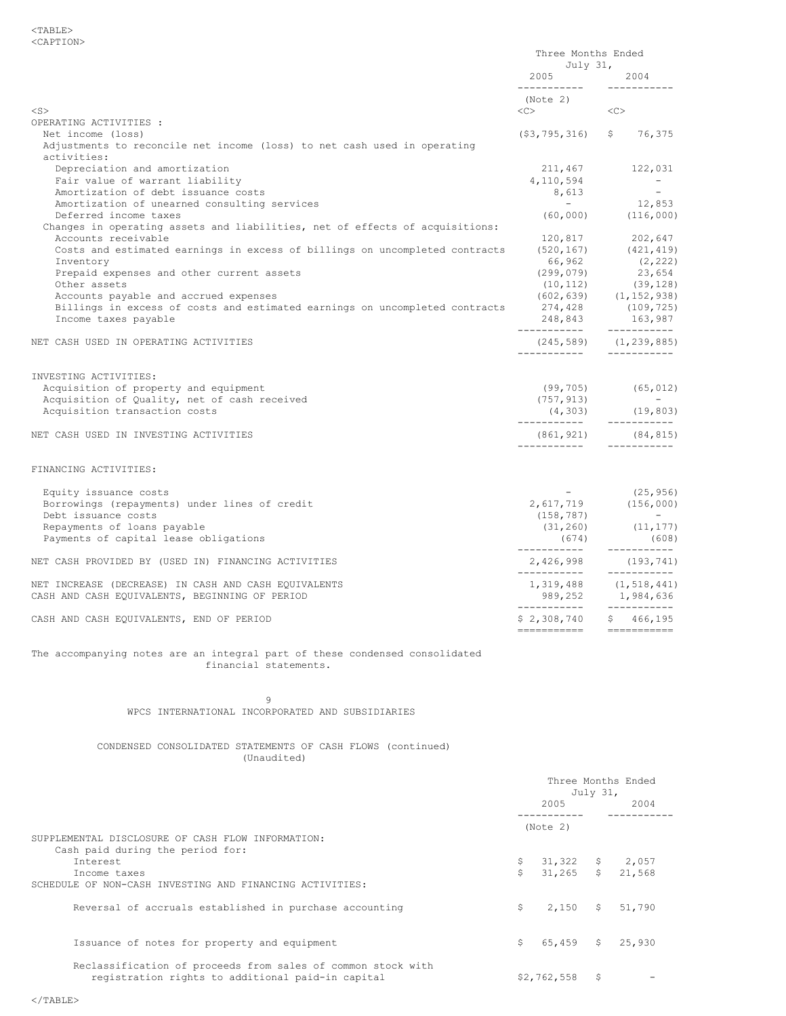|                                                                                                                                       | Three Months Ended                |                                                                               |  |
|---------------------------------------------------------------------------------------------------------------------------------------|-----------------------------------|-------------------------------------------------------------------------------|--|
|                                                                                                                                       | July $31,$<br>2005                | 2004<br>-----------                                                           |  |
| $<$ S $>$                                                                                                                             | (Note 2)<br><<>                   | $<<$ C $>$                                                                    |  |
| OPERATING ACTIVITIES :                                                                                                                |                                   |                                                                               |  |
| Net income (loss)<br>Adjustments to reconcile net income (loss) to net cash used in operating<br>activities:                          |                                   | $(53, 795, 316)$ \$ 76,375                                                    |  |
| Depreciation and amortization                                                                                                         | 211,467                           | 122,031                                                                       |  |
| Fair value of warrant liability                                                                                                       | 4,110,594                         | $\sim$                                                                        |  |
| Amortization of debt issuance costs                                                                                                   | 8,613<br><b>Contract Contract</b> | $\sim$                                                                        |  |
| Amortization of unearned consulting services<br>Deferred income taxes                                                                 |                                   | 12,853<br>$(60, 000)$ $(116, 000)$                                            |  |
| Changes in operating assets and liabilities, net of effects of acquisitions:                                                          |                                   |                                                                               |  |
| Accounts receivable                                                                                                                   |                                   | 120,817 202,647<br>(520,167) (421,419)                                        |  |
| Costs and estimated earnings in excess of billings on uncompleted contracts                                                           |                                   |                                                                               |  |
| Inventory                                                                                                                             |                                   | $(66, 962)$<br>$(299, 079)$<br>$(10, 112)$<br>$(602, 639)$<br>$(1, 152, 938)$ |  |
| Prepaid expenses and other current assets<br>Other assets                                                                             |                                   |                                                                               |  |
| Accounts payable and accrued expenses                                                                                                 |                                   |                                                                               |  |
|                                                                                                                                       |                                   |                                                                               |  |
| Billings in excess of costs and estimated earnings on uncompleted contracts 274,428 (109,725)<br>Income taxes payable 248,843 163,987 |                                   |                                                                               |  |
|                                                                                                                                       |                                   |                                                                               |  |
| NET CASH USED IN OPERATING ACTIVITIES                                                                                                 |                                   | $(245, 589)$ $(1, 239, 885)$                                                  |  |
| INVESTING ACTIVITIES:                                                                                                                 |                                   |                                                                               |  |
| Acquisition of property and equipment                                                                                                 |                                   | $(99, 705)$ (65,012)                                                          |  |
| Acquisition of Quality, net of cash received                                                                                          |                                   | $(757, 913)$ -<br>$(4, 303)$ (19,803)                                         |  |
| Acquisition transaction costs                                                                                                         |                                   |                                                                               |  |
| NET CASH USED IN INVESTING ACTIVITIES                                                                                                 |                                   | $(861, 921)$ $(84, 815)$                                                      |  |
| FINANCING ACTIVITIES:                                                                                                                 |                                   |                                                                               |  |
|                                                                                                                                       |                                   |                                                                               |  |
| Equity issuance costs                                                                                                                 | $ -$                              | (25, 956)<br>$(25, 555)$<br>2,617,719 (156,000)                               |  |
| Borrowings (repayments) under lines of credit<br>Debt issuance costs                                                                  | (158, 787)                        | <b>Contract Contract Contract</b>                                             |  |
| Repayments of loans payable                                                                                                           |                                   | $(31, 260)$ $(11, 177)$                                                       |  |
| Payments of capital lease obligations                                                                                                 | (674)                             | (608)                                                                         |  |
|                                                                                                                                       |                                   |                                                                               |  |
| NET CASH PROVIDED BY (USED IN) FINANCING ACTIVITIES                                                                                   |                                   | 2,426,998 (193,741)                                                           |  |
| NET INCREASE (DECREASE) IN CASH AND CASH EQUIVALENTS<br>CASH AND CASH EQUIVALENTS, BEGINNING OF PERIOD                                |                                   | 1,319,488 (1,518,441)<br>989,252 1,984,636                                    |  |
|                                                                                                                                       | ------------                      | ___________                                                                   |  |
| CASH AND CASH EQUIVALENTS, END OF PERIOD                                                                                              | ===========                       | $$2,308,740$ $$466,195$<br><b>EEEEEEEEEE</b>                                  |  |
| The accompanying notes are an integral part of these condensed consolidated<br>financial statements.                                  |                                   |                                                                               |  |
| 9                                                                                                                                     |                                   |                                                                               |  |
| WPCS INTERNATIONAL INCORPORATED AND SUBSIDIARIES                                                                                      |                                   |                                                                               |  |
| CONDENSED CONSOLIDATED STATEMENTS OF CASH FLOWS (continued)<br>(Unaudited)                                                            |                                   |                                                                               |  |
|                                                                                                                                       |                                   | Three Months Ended                                                            |  |
|                                                                                                                                       |                                   | July 31,                                                                      |  |
|                                                                                                                                       | 2005<br>------------              | 2004                                                                          |  |
|                                                                                                                                       | (Note 2)                          |                                                                               |  |
| SUPPLEMENTAL DISCLOSURE OF CASH FLOW INFORMATION:                                                                                     |                                   |                                                                               |  |
| Cash paid during the period for:                                                                                                      |                                   |                                                                               |  |
| Interest                                                                                                                              | $$31,322$ \$ 2,057                |                                                                               |  |
| Income taxes<br>SCHEDULE OF NON-CASH INVESTING AND FINANCING ACTIVITIES:                                                              | $31,265$ \$ 21,568<br>S.          |                                                                               |  |
|                                                                                                                                       |                                   |                                                                               |  |

| Reversal of accruals established in purchase accounting                                                           | $\frac{1}{2}$ , 2, 150 \$ 51, 790 |        |
|-------------------------------------------------------------------------------------------------------------------|-----------------------------------|--------|
| Issuance of notes for property and equipment                                                                      | $$65,459$ \$ 25,930               |        |
| Reclassification of proceeds from sales of common stock with<br>registration rights to additional paid-in capital | \$2,762,558 \$                    | $\sim$ |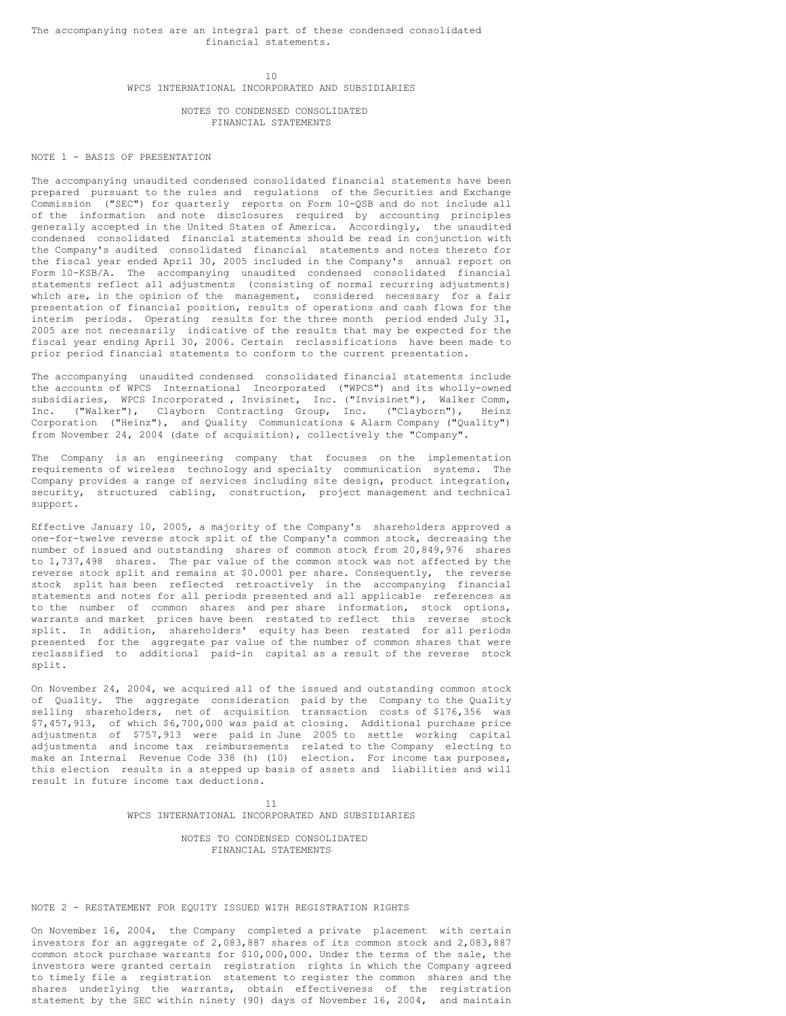10 WPCS INTERNATIONAL INCORPORATED AND SUBSIDIARIES

> NOTES TO CONDENSED CONSOLIDATED FINANCIAL STATEMENTS

### NOTE 1 - BASIS OF PRESENTATION

The accompanying unaudited condensed consolidated financial statements have been prepared pursuant to the rules and regulations of the Securities and Exchange Commission ("SEC") for quarterly reports on Form 10-QSB and do not include all of the information and note disclosures required by accounting principles generally accepted in the United States of America. Accordingly, the unaudited condensed consolidated financial statements should be read in conjunction with the Company's audited consolidated financial statements and notes thereto for the fiscal year ended April 30, 2005 included in the Company's annual report on Form 10-KSB/A. The accompanying unaudited condensed consolidated financial statements reflect all adjustments (consisting of normal recurring adjustments) which are, in the opinion of the management, considered necessary for a fair presentation of financial position, results of operations and cash flows for the interim periods. Operating results for the three month period ended July 31, 2005 are not necessarily indicative of the results that may be expected for the fiscal year ending April 30, 2006. Certain reclassifications have been made to prior period financial statements to conform to the current presentation.

The accompanying unaudited condensed consolidated financial statements include the accounts of WPCS International Incorporated ("WPCS") and its wholly-owned subsidiaries, WPCS Incorporated , Invisinet, Inc. ("Invisinet"), Walker Comm, Inc. ("Walker"), Clayborn Contracting Group, Inc. ("Clayborn"), Heinz Corporation ("Heinz"), and Quality Communications & Alarm Company ("Quality") from November 24, 2004 (date of acquisition), collectively the "Company".

The Company is an engineering company that focuses on the implementation requirements of wireless technology and specialty communication systems. The Company provides a range of services including site design, product integration, security, structured cabling, construction, project management and technical support.

Effective January 10, 2005, a majority of the Company's shareholders approved a one-for-twelve reverse stock split of the Company's common stock, decreasing the number of issued and outstanding shares of common stock from 20,849,976 shares to 1,737,498 shares. The par value of the common stock was not affected by the reverse stock split and remains at \$0.0001 per share. Consequently, the reverse stock split has been reflected retroactively in the accompanying financial statements and notes for all periods presented and all applicable references as to the number of common shares and per share information, stock options, warrants and market prices have been restated to reflect this reverse stock split. In addition, shareholders' equity has been restated for all periods presented for the aggregate par value of the number of common shares that were reclassified to additional paid-in capital as a result of the reverse stock split.

On November 24, 2004, we acquired all of the issued and outstanding common stock of Quality. The aggregate consideration paid by the Company to the Quality selling shareholders, net of acquisition transaction costs of \$176,356 was \$7,457,913, of which \$6,700,000 was paid at closing. Additional purchase price adjustments of \$757,913 were paid in June 2005 to settle working capital adjustments and income tax reimbursements related to the Company electing to make an Internal Revenue Code 338 (h) (10) election. For income tax purposes, this election results in a stepped up basis of assets and liabilities and will result in future income tax deductions.

> 11 WPCS INTERNATIONAL INCORPORATED AND SUBSIDIARIES

> > NOTES TO CONDENSED CONSOLIDATED FINANCIAL STATEMENTS

# NOTE 2 - RESTATEMENT FOR EQUITY ISSUED WITH REGISTRATION RIGHTS

On November 16, 2004, the Company completed a private placement with certain investors for an aggregate of 2,083,887 shares of its common stock and 2,083,887 common stock purchase warrants for \$10,000,000. Under the terms of the sale, the investors were granted certain registration rights in which the Company agreed to timely file a registration statement to register the common shares and the shares underlying the warrants, obtain effectiveness of the registration statement by the SEC within ninety (90) days of November 16, 2004, and maintain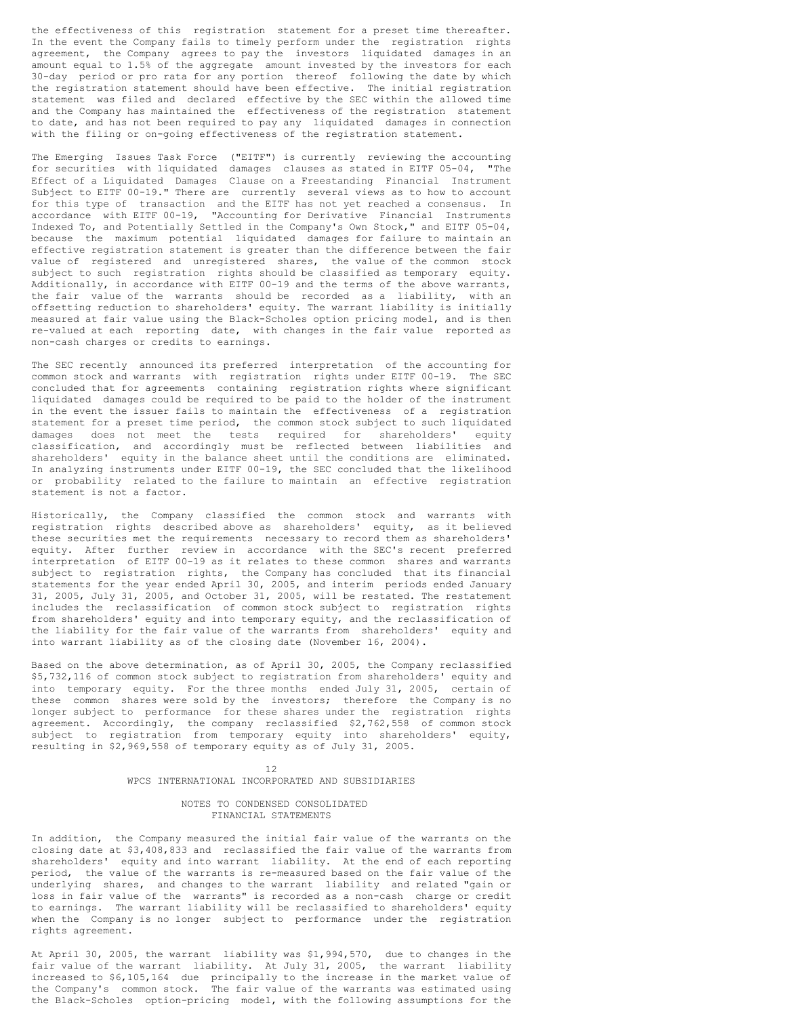the effectiveness of this registration statement for a preset time thereafter. In the event the Company fails to timely perform under the registration rights agreement, the Company agrees to pay the investors liquidated damages in an amount equal to 1.5% of the aggregate amount invested by the investors for each 30-day period or pro rata for any portion thereof following the date by which the registration statement should have been effective. The initial registration statement was filed and declared effective by the SEC within the allowed time and the Company has maintained the effectiveness of the registration statement to date, and has not been required to pay any liquidated damages in connection with the filing or on-going effectiveness of the registration statement.

The Emerging Issues Task Force ("EITF") is currently reviewing the accounting for securities with liquidated damages clauses as stated in EITF 05-04, "The Effect of a Liquidated Damages Clause on a Freestanding Financial Instrument Subject to EITF 00-19." There are currently several views as to how to account for this type of transaction and the EITF has not yet reached a consensus. In accordance with EITF 00-19, "Accounting for Derivative Financial Instruments Indexed To, and Potentially Settled in the Company's Own Stock," and EITF 05-04, because the maximum potential liquidated damages for failure to maintain an effective registration statement is greater than the difference between the fair value of registered and unregistered shares, the value of the common stock subject to such registration rights should be classified as temporary equity. Additionally, in accordance with EITF 00-19 and the terms of the above warrants, the fair value of the warrants should be recorded as a liability, with an offsetting reduction to shareholders' equity. The warrant liability is initially measured at fair value using the Black-Scholes option pricing model, and is then re-valued at each reporting date, with changes in the fair value reported as non-cash charges or credits to earnings.

The SEC recently announced its preferred interpretation of the accounting for common stock and warrants with registration rights under EITF 00-19. The SEC concluded that for agreements containing registration rights where significant liquidated damages could be required to be paid to the holder of the instrument in the event the issuer fails to maintain the effectiveness of a registration statement for a preset time period, the common stock subject to such liquidated damages does not meet the tests required for shareholders' equity classification, and accordingly must be reflected between liabilities and shareholders' equity in the balance sheet until the conditions are eliminated. In analyzing instruments under EITF 00-19, the SEC concluded that the likelihood or probability related to the failure to maintain an effective registration statement is not a factor.

Historically, the Company classified the common stock and warrants with registration rights described above as shareholders' equity, as it believed these securities met the requirements necessary to record them as shareholders' equity. After further review in accordance with the SEC's recent preferred interpretation of EITF 00-19 as it relates to these common shares and warrants subject to registration rights, the Company has concluded that its financial statements for the year ended April 30, 2005, and interim periods ended January 31, 2005, July 31, 2005, and October 31, 2005, will be restated. The restatement includes the reclassification of common stock subject to registration rights from shareholders' equity and into temporary equity, and the reclassification of the liability for the fair value of the warrants from shareholders' equity and into warrant liability as of the closing date (November 16, 2004).

Based on the above determination, as of April 30, 2005, the Company reclassified \$5,732,116 of common stock subject to registration from shareholders' equity and into temporary equity. For the three months ended July 31, 2005, certain of these common shares were sold by the investors; therefore the Company is no longer subject to performance for these shares under the registration rights agreement. Accordingly, the company reclassified \$2,762,558 of common stock subject to registration from temporary equity into shareholders' equity, resulting in \$2,969,558 of temporary equity as of July 31, 2005.

> 12 WPCS INTERNATIONAL INCORPORATED AND SUBSIDIARIES

> > NOTES TO CONDENSED CONSOLIDATED FINANCIAL STATEMENTS

In addition, the Company measured the initial fair value of the warrants on the closing date at \$3,408,833 and reclassified the fair value of the warrants from shareholders' equity and into warrant liability. At the end of each reporting period, the value of the warrants is re-measured based on the fair value of the underlying shares, and changes to the warrant liability and related "gain or loss in fair value of the warrants" is recorded as a non-cash charge or credit to earnings. The warrant liability will be reclassified to shareholders' equity when the Company is no longer subject to performance under the registration rights agreement.

At April 30, 2005, the warrant liability was \$1,994,570, due to changes in the fair value of the warrant liability. At July 31, 2005, the warrant liability increased to \$6,105,164 due principally to the increase in the market value of the Company's common stock. The fair value of the warrants was estimated using the Black-Scholes option-pricing model, with the following assumptions for the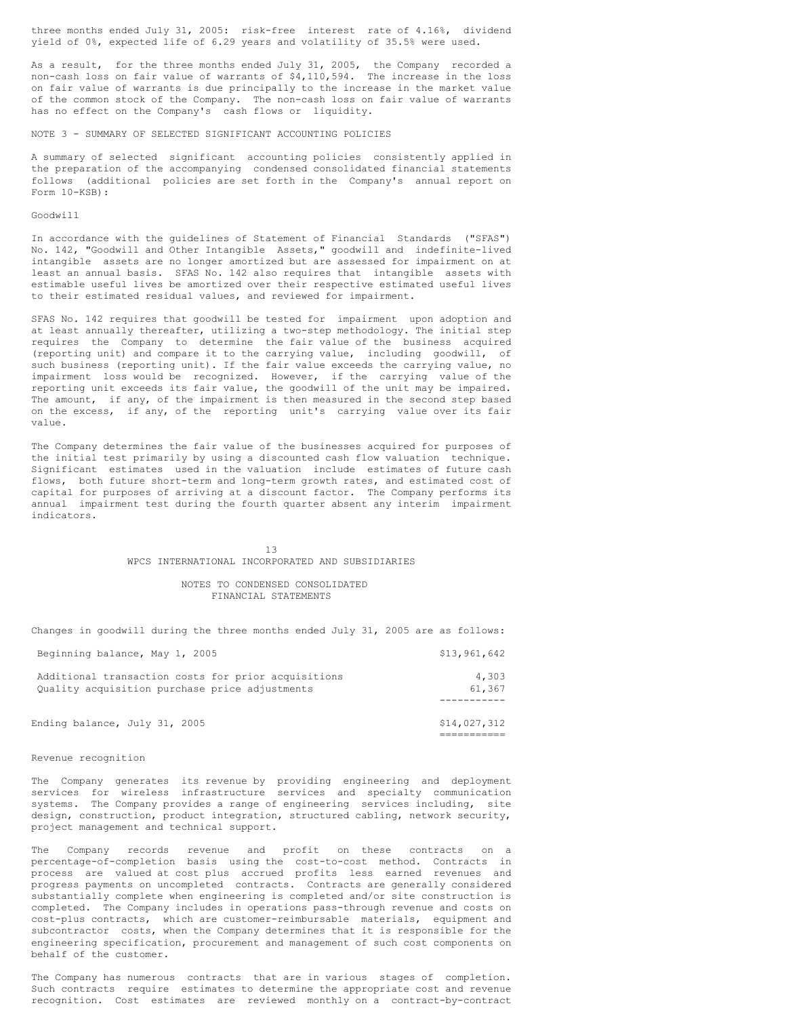three months ended July 31, 2005: risk-free interest rate of 4.16%, dividend yield of 0%, expected life of 6.29 years and volatility of 35.5% were used.

As a result, for the three months ended July 31, 2005, the Company recorded a non-cash loss on fair value of warrants of \$4,110,594. The increase in the loss on fair value of warrants is due principally to the increase in the market value of the common stock of the Company. The non-cash loss on fair value of warrants has no effect on the Company's cash flows or liquidity.

NOTE 3 - SUMMARY OF SELECTED SIGNIFICANT ACCOUNTING POLICIES

A summary of selected significant accounting policies consistently applied in the preparation of the accompanying condensed consolidated financial statements follows (additional policies are set forth in the Company's annual report on Form 10-KSB):

#### Goodwill

In accordance with the guidelines of Statement of Financial Standards ("SFAS") No. 142, "Goodwill and Other Intangible Assets," goodwill and indefinite-lived intangible assets are no longer amortized but are assessed for impairment on at least an annual basis. SFAS No. 142 also requires that intangible assets with estimable useful lives be amortized over their respective estimated useful lives to their estimated residual values, and reviewed for impairment.

SFAS No. 142 requires that goodwill be tested for impairment upon adoption and at least annually thereafter, utilizing a two-step methodology. The initial step requires the Company to determine the fair value of the business acquired (reporting unit) and compare it to the carrying value, including goodwill, of such business (reporting unit). If the fair value exceeds the carrying value, no impairment loss would be recognized. However, if the carrying value of the reporting unit exceeds its fair value, the goodwill of the unit may be impaired. The amount, if any, of the impairment is then measured in the second step based on the excess, if any, of the reporting unit's carrying value over its fair value.

The Company determines the fair value of the businesses acquired for purposes of the initial test primarily by using a discounted cash flow valuation technique. Significant estimates used in the valuation include estimates of future cash flows, both future short-term and long-term growth rates, and estimated cost of capital for purposes of arriving at a discount factor. The Company performs its annual impairment test during the fourth quarter absent any interim impairment indicators.

> 13 WPCS INTERNATIONAL INCORPORATED AND SUBSIDIARIES

# NOTES TO CONDENSED CONSOLIDATED FINANCIAL STATEMENTS

Changes in goodwill during the three months ended July 31, 2005 are as follows:

| Beginning balance, May 1, 2005                                                                        | \$13,961,642    |
|-------------------------------------------------------------------------------------------------------|-----------------|
| Additional transaction costs for prior acquisitions<br>Quality acquisition purchase price adjustments | 4,303<br>61,367 |
| Ending balance, July 31, 2005                                                                         | \$14.027.312    |

### Revenue recognition

The Company generates its revenue by providing engineering and deployment services for wireless infrastructure services and specialty communication systems. The Company provides a range of engineering services including, site design, construction, product integration, structured cabling, network security, project management and technical support.

The Company records revenue and profit on these contracts on a percentage-of-completion basis using the cost-to-cost method. Contracts in process are valued at cost plus accrued profits less earned revenues and progress payments on uncompleted contracts. Contracts are generally considered substantially complete when engineering is completed and/or site construction is completed. The Company includes in operations pass-through revenue and costs on cost-plus contracts, which are customer-reimbursable materials, equipment and subcontractor costs, when the Company determines that it is responsible for the engineering specification, procurement and management of such cost components on behalf of the customer.

The Company has numerous contracts that are in various stages of completion. Such contracts require estimates to determine the appropriate cost and revenue recognition. Cost estimates are reviewed monthly on a contract-by-contract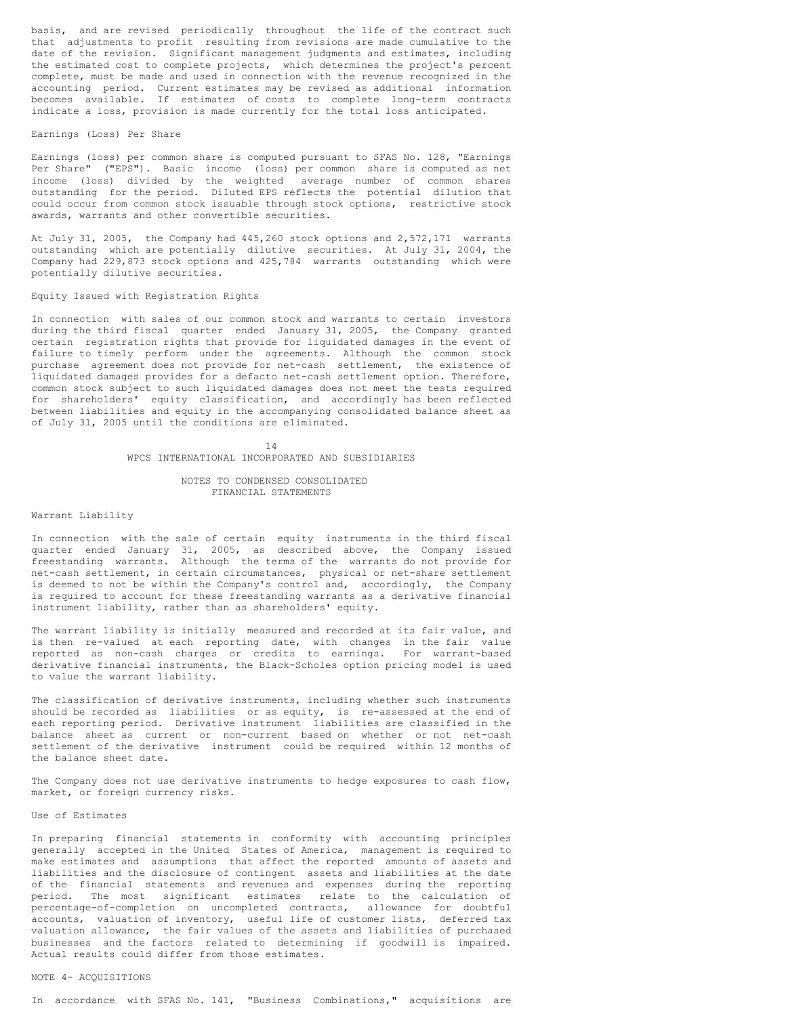basis, and are revised periodically throughout the life of the contract such that adjustments to profit resulting from revisions are made cumulative to the date of the revision. Significant management judgments and estimates, including the estimated cost to complete projects, which determines the project's percent complete, must be made and used in connection with the revenue recognized in the accounting period. Current estimates may be revised as additional information becomes available. If estimates of costs to complete long-term contracts indicate a loss, provision is made currently for the total loss anticipated.

### Earnings (Loss) Per Share

Earnings (loss) per common share is computed pursuant to SFAS No. 128, "Earnings Per Share" ("EPS"). Basic income (loss) per common share is computed as net income (loss) divided by the weighted average number of common shares outstanding for the period. Diluted EPS reflects the potential dilution that could occur from common stock issuable through stock options, restrictive stock awards, warrants and other convertible securities.

At July 31, 2005, the Company had 445,260 stock options and 2,572,171 warrants outstanding which are potentially dilutive securities. At July 31, 2004, the Company had 229,873 stock options and 425,784 warrants outstanding which were potentially dilutive securities.

### Equity Issued with Registration Rights

In connection with sales of our common stock and warrants to certain investors during the third fiscal quarter ended January 31, 2005, the Company granted certain registration rights that provide for liquidated damages in the event of failure to timely perform under the agreements. Although the common stock purchase agreement does not provide for net-cash settlement, the existence of liquidated damages provides for a defacto net-cash settlement option. Therefore, common stock subject to such liquidated damages does not meet the tests required for shareholders' equity classification, and accordingly has been reflected between liabilities and equity in the accompanying consolidated balance sheet as of July 31, 2005 until the conditions are eliminated.

> 14 WPCS INTERNATIONAL INCORPORATED AND SUBSIDIARIES

> > NOTES TO CONDENSED CONSOLIDATED FINANCIAL STATEMENTS

## Warrant Liability

In connection with the sale of certain equity instruments in the third fiscal quarter ended January 31, 2005, as described above, the Company issued freestanding warrants. Although the terms of the warrants do not provide for net-cash settlement, in certain circumstances, physical or net-share settlement is deemed to not be within the Company's control and, accordingly, the Company is required to account for these freestanding warrants as a derivative financial instrument liability, rather than as shareholders' equity.

The warrant liability is initially measured and recorded at its fair value, and is then re-valued at each reporting date, with changes in the fair value reported as non-cash charges or credits to earnings. For warrant-based derivative financial instruments, the Black-Scholes option pricing model is used to value the warrant liability.

The classification of derivative instruments, including whether such instruments should be recorded as liabilities or as equity, is re-assessed at the end of each reporting period. Derivative instrument liabilities are classified in the balance sheet as current or non-current based on whether or not net-cash settlement of the derivative instrument could be required within 12 months of the balance sheet date.

The Company does not use derivative instruments to hedge exposures to cash flow, market, or foreign currency risks.

### Use of Estimates

In preparing financial statements in conformity with accounting principles generally accepted in the United States of America, management is required to make estimates and assumptions that affect the reported amounts of assets and liabilities and the disclosure of contingent assets and liabilities at the date of the financial statements and revenues and expenses during the reporting period. The most significant estimates relate to the calculation of percentage-of-completion on uncompleted contracts, allowance for doubtful accounts, valuation of inventory, useful life of customer lists, deferred tax valuation allowance, the fair values of the assets and liabilities of purchased businesses and the factors related to determining if goodwill is impaired. Actual results could differ from those estimates.

#### NOTE 4- ACQUISITIONS

In accordance with SFAS No. 141, "Business Combinations," acquisitions are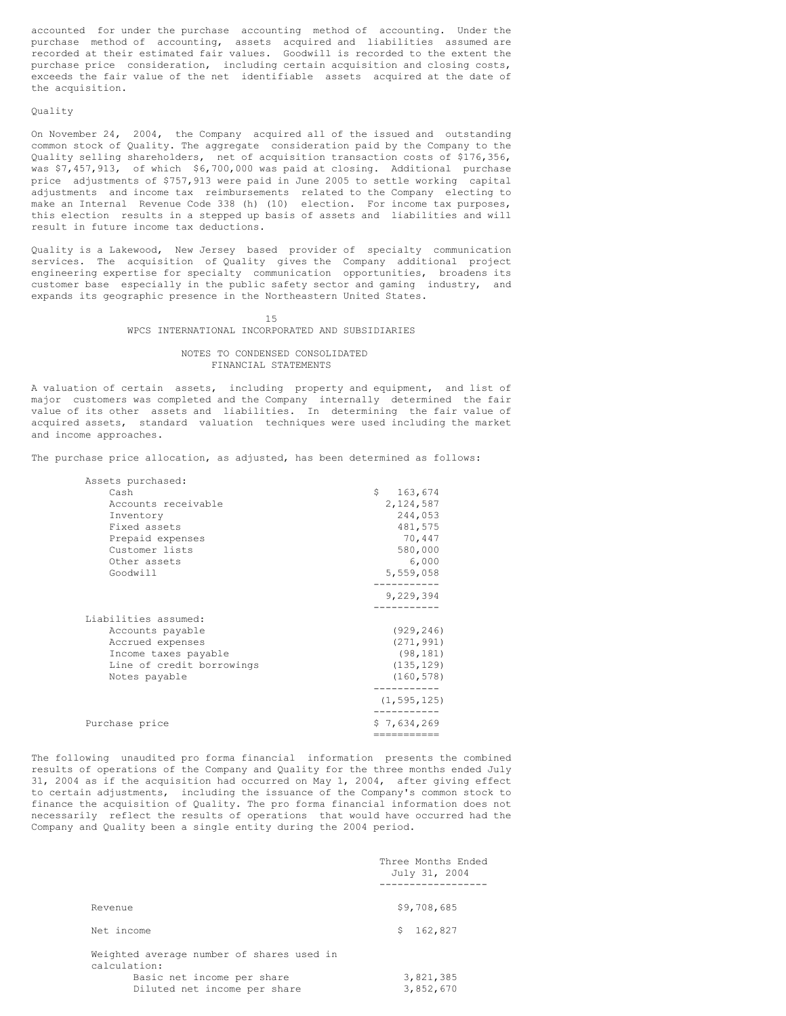accounted for under the purchase accounting method of accounting. Under the purchase method of accounting, assets acquired and liabilities assumed are recorded at their estimated fair values. Goodwill is recorded to the extent the purchase price consideration, including certain acquisition and closing costs, exceeds the fair value of the net identifiable assets acquired at the date of the acquisition.

# Quality

On November 24, 2004, the Company acquired all of the issued and outstanding common stock of Quality. The aggregate consideration paid by the Company to the Quality selling shareholders, net of acquisition transaction costs of \$176,356, was \$7,457,913, of which \$6,700,000 was paid at closing. Additional purchase price adjustments of \$757,913 were paid in June 2005 to settle working capital adjustments and income tax reimbursements related to the Company electing to make an Internal Revenue Code 338 (h) (10) election. For income tax purposes, this election results in a stepped up basis of assets and liabilities and will result in future income tax deductions.

Quality is a Lakewood, New Jersey based provider of specialty communication services. The acquisition of Quality gives the Company additional project engineering expertise for specialty communication opportunities, broadens its customer base especially in the public safety sector and gaming industry, and expands its geographic presence in the Northeastern United States.

## 15 WPCS INTERNATIONAL INCORPORATED AND SUBSIDIARIES

# NOTES TO CONDENSED CONSOLIDATED FINANCIAL STATEMENTS

A valuation of certain assets, including property and equipment, and list of major customers was completed and the Company internally determined the fair value of its other assets and liabilities. In determining the fair value of acquired assets, standard valuation techniques were used including the market and income approaches.

The purchase price allocation, as adjusted, has been determined as follows:

| Assets purchased:         |               |
|---------------------------|---------------|
| Cash                      | Ŝ.<br>163,674 |
| Accounts receivable       | 2,124,587     |
| Inventory                 | 244,053       |
| Fixed assets              | 481,575       |
| Prepaid expenses          | 70,447        |
| Customer lists            | 580,000       |
| Other assets              | 6,000         |
| Goodwill                  | 5,559,058     |
|                           |               |
|                           | 9,229,394     |
|                           |               |
| Liabilities assumed:      |               |
| Accounts payable          | (929, 246)    |
| Accrued expenses          | (271, 991)    |
| Income taxes payable      | (98, 181)     |
| Line of credit borrowings | (135, 129)    |
| Notes payable             | (160, 578)    |
|                           | (1, 595, 125) |
| Purchase price            | \$7,634,269   |
|                           | ===========   |

The following unaudited pro forma financial information presents the combined results of operations of the Company and Quality for the three months ended July 31, 2004 as if the acquisition had occurred on May 1, 2004, after giving effect to certain adjustments, including the issuance of the Company's common stock to finance the acquisition of Quality. The pro forma financial information does not necessarily reflect the results of operations that would have occurred had the Company and Quality been a single entity during the 2004 period.

|                                                           | Three Months Ended<br>July 31, 2004 |
|-----------------------------------------------------------|-------------------------------------|
| Revenue                                                   | \$9,708,685                         |
|                                                           | Ŝ.                                  |
| Net income                                                | 162,827                             |
| Weighted average number of shares used in<br>calculation: |                                     |
| Basic net income per share                                | 3,821,385                           |
| Diluted net income per share                              | 3,852,670                           |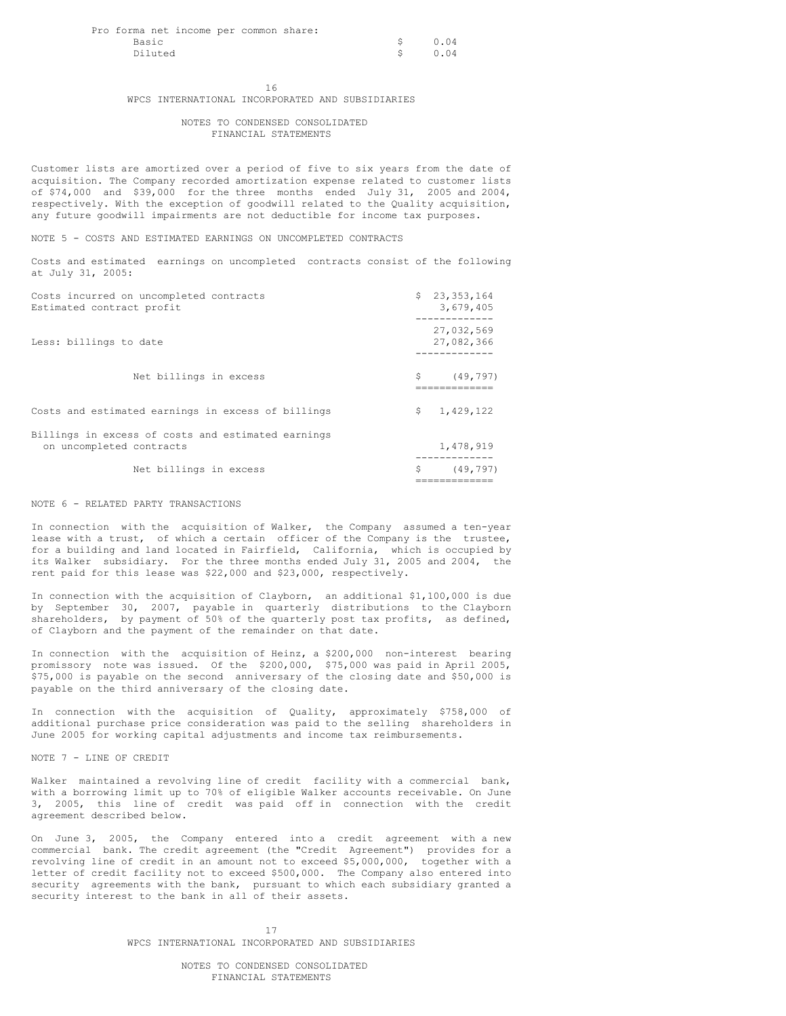|  |         |  | Pro forma net income per common share: |  |         |
|--|---------|--|----------------------------------------|--|---------|
|  | Basic   |  |                                        |  | \$ 0.04 |
|  | Diluted |  |                                        |  | \$ 0.04 |

16

# WPCS INTERNATIONAL INCORPORATED AND SUBSIDIARIES

## NOTES TO CONDENSED CONSOLIDATED FINANCIAL STATEMENTS

Customer lists are amortized over a period of five to six years from the date of acquisition. The Company recorded amortization expense related to customer lists of \$74,000 and \$39,000 for the three months ended July 31, 2005 and 2004, respectively. With the exception of goodwill related to the Quality acquisition, any future goodwill impairments are not deductible for income tax purposes.

### NOTE 5 - COSTS AND ESTIMATED EARNINGS ON UNCOMPLETED CONTRACTS

Costs and estimated earnings on uncompleted contracts consist of the following at July 31, 2005:

| Costs incurred on uncompleted contracts<br>Estimated contract profit           |     | \$23,353,164<br>3,679,405 |
|--------------------------------------------------------------------------------|-----|---------------------------|
| Less: billings to date                                                         |     | 27,032,569<br>27,082,366  |
| Net billings in excess                                                         |     | (49, 797)                 |
| Costs and estimated earnings in excess of billings                             | \$. | 1,429,122                 |
| Billings in excess of costs and estimated earnings<br>on uncompleted contracts |     | 1,478,919                 |
| Net billings in excess                                                         | Ŝ   | (49, 797)                 |

#### NOTE 6 - RELATED PARTY TRANSACTIONS

In connection with the acquisition of Walker, the Company assumed a ten-year lease with a trust, of which a certain officer of the Company is the trustee, for a building and land located in Fairfield, California, which is occupied by its Walker subsidiary. For the three months ended July 31, 2005 and 2004, the rent paid for this lease was \$22,000 and \$23,000, respectively.

In connection with the acquisition of Clayborn, an additional \$1,100,000 is due by September 30, 2007, payable in quarterly distributions to the Clayborn shareholders, by payment of 50% of the quarterly post tax profits, as defined, of Clayborn and the payment of the remainder on that date.

In connection with the acquisition of Heinz, a \$200,000 non-interest bearing promissory note was issued. Of the \$200,000, \$75,000 was paid in April 2005, \$75,000 is payable on the second anniversary of the closing date and \$50,000 is payable on the third anniversary of the closing date.

In connection with the acquisition of Quality, approximately \$758,000 of additional purchase price consideration was paid to the selling shareholders in June 2005 for working capital adjustments and income tax reimbursements.

NOTE 7 - LINE OF CREDIT

Walker maintained a revolving line of credit facility with a commercial bank, with a borrowing limit up to 70% of eligible Walker accounts receivable. On June 3, 2005, this line of credit was paid off in connection with the credit agreement described below.

On June 3, 2005, the Company entered into a credit agreement with a new commercial bank. The credit agreement (the "Credit Agreement") provides for a revolving line of credit in an amount not to exceed \$5,000,000, together with a letter of credit facility not to exceed \$500,000. The Company also entered into security agreements with the bank, pursuant to which each subsidiary granted a security interest to the bank in all of their assets.

> 17 WPCS INTERNATIONAL INCORPORATED AND SUBSIDIARIES

> > NOTES TO CONDENSED CONSOLIDATED FINANCIAL STATEMENTS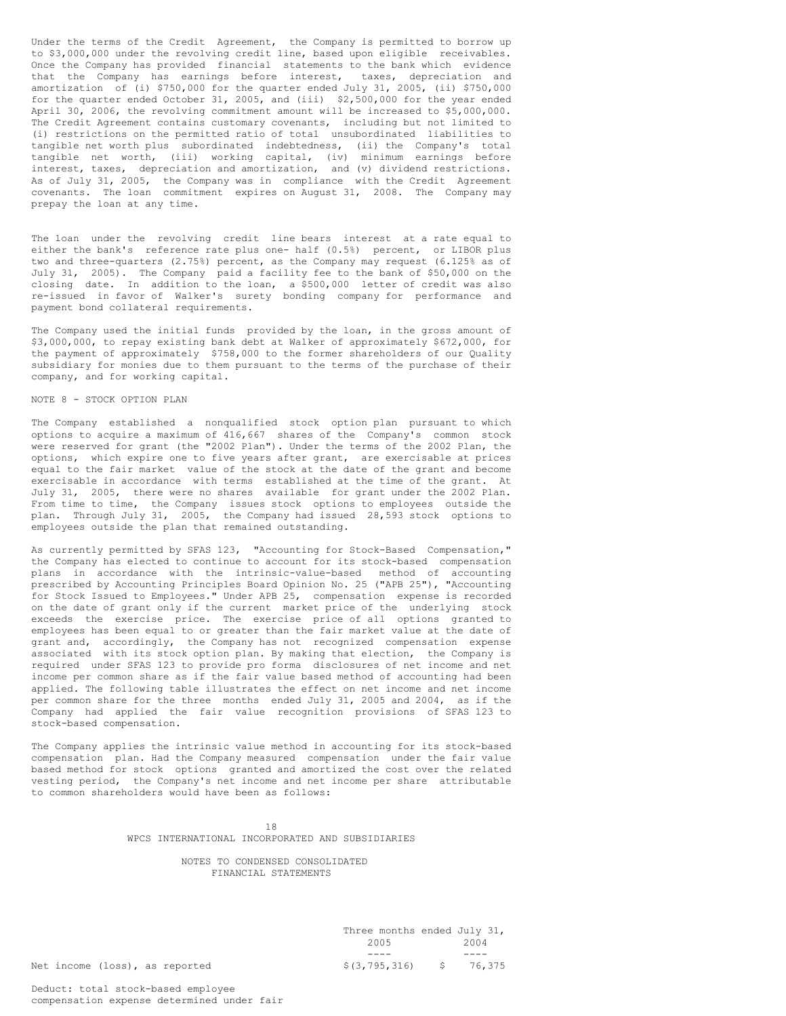Under the terms of the Credit Agreement, the Company is permitted to borrow up to \$3,000,000 under the revolving credit line, based upon eligible receivables. Once the Company has provided financial statements to the bank which evidence that the Company has earnings before interest, taxes, depreciation and amortization of (i) \$750,000 for the quarter ended July 31, 2005, (ii) \$750,000 for the quarter ended October 31, 2005, and (iii) \$2,500,000 for the year ended April 30, 2006, the revolving commitment amount will be increased to \$5,000,000. The Credit Agreement contains customary covenants, including but not limited to (i) restrictions on the permitted ratio of total unsubordinated liabilities to tangible net worth plus subordinated indebtedness, (ii) the Company's total tangible net worth, (iii) working capital, (iv) minimum earnings before interest, taxes, depreciation and amortization, and (v) dividend restrictions. As of July 31, 2005, the Company was in compliance with the Credit Agreement covenants. The loan commitment expires on August 31, 2008. The Company may prepay the loan at any time.

The loan under the revolving credit line bears interest at a rate equal to either the bank's reference rate plus one- half (0.5%) percent, or LIBOR plus two and three-quarters (2.75%) percent, as the Company may request (6.125% as of July 31, 2005). The Company paid a facility fee to the bank of \$50,000 on the closing date. In addition to the loan, a \$500,000 letter of credit was also re-issued in favor of Walker's surety bonding company for performance and payment bond collateral requirements.

The Company used the initial funds provided by the loan, in the gross amount of \$3,000,000, to repay existing bank debt at Walker of approximately \$672,000, for the payment of approximately \$758,000 to the former shareholders of our Quality subsidiary for monies due to them pursuant to the terms of the purchase of their company, and for working capital.

## NOTE 8 - STOCK OPTION PLAN

The Company established a nonqualified stock option plan pursuant to which options to acquire a maximum of 416,667 shares of the Company's common stock were reserved for grant (the "2002 Plan"). Under the terms of the 2002 Plan, the options, which expire one to five years after grant, are exercisable at prices equal to the fair market value of the stock at the date of the grant and become exercisable in accordance with terms established at the time of the grant. At July 31, 2005, there were no shares available for grant under the 2002 Plan. From time to time, the Company issues stock options to employees outside the plan. Through July 31, 2005, the Company had issued 28,593 stock options to employees outside the plan that remained outstanding.

As currently permitted by SFAS 123, "Accounting for Stock-Based Compensation," the Company has elected to continue to account for its stock-based compensation plans in accordance with the intrinsic-value-based method of accounting prescribed by Accounting Principles Board Opinion No. 25 ("APB 25"), "Accounting for Stock Issued to Employees." Under APB 25, compensation expense is recorded on the date of grant only if the current market price of the underlying stock exceeds the exercise price. The exercise price of all options granted to employees has been equal to or greater than the fair market value at the date of grant and, accordingly, the Company has not recognized compensation expense associated with its stock option plan. By making that election, the Company is required under SFAS 123 to provide pro forma disclosures of net income and net income per common share as if the fair value based method of accounting had been applied. The following table illustrates the effect on net income and net income per common share for the three months ended July 31, 2005 and 2004, as if the Company had applied the fair value recognition provisions of SFAS 123 to stock-based compensation.

The Company applies the intrinsic value method in accounting for its stock-based compensation plan. Had the Company measured compensation under the fair value based method for stock options granted and amortized the cost over the related vesting period, the Company's net income and net income per share attributable to common shareholders would have been as follows:

> 18 WPCS INTERNATIONAL INCORPORATED AND SUBSIDIARIES

> > NOTES TO CONDENSED CONSOLIDATED FINANCIAL STATEMENTS

Three months ended July 31, 2005 2004 ---- ---- Net income (loss), as reported  $$(3,795,316)$  \$ 76,375

Deduct: total stock-based employee compensation expense determined under fair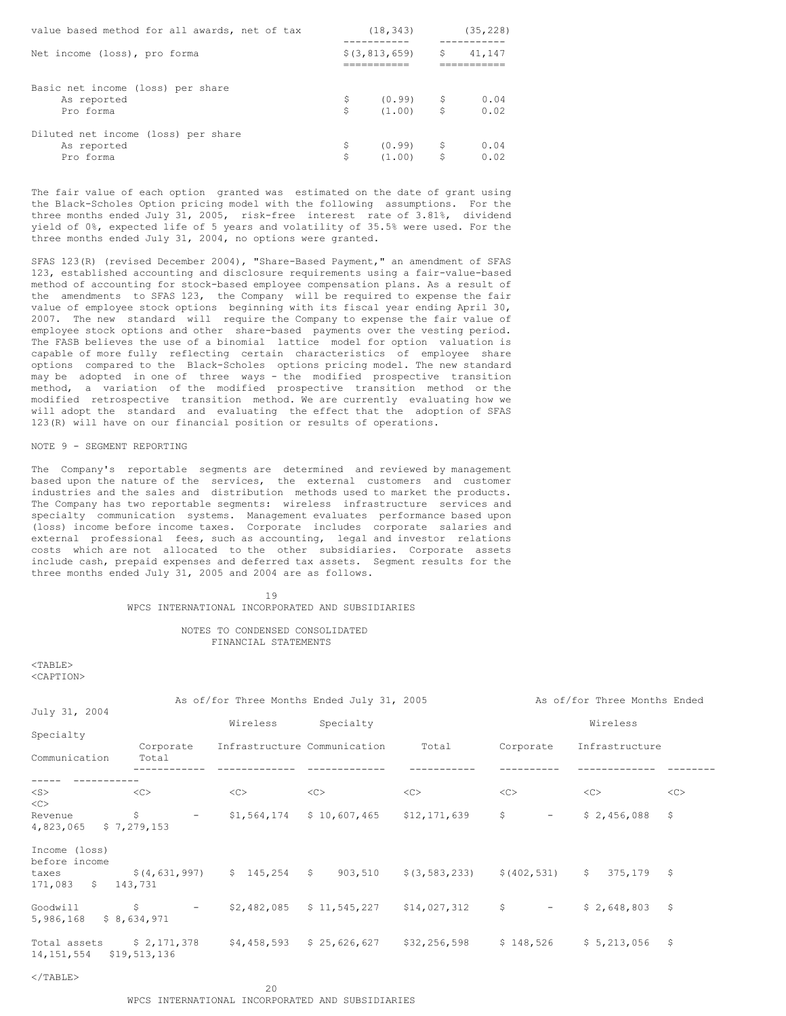| value based method for all awards, net of tax                   |          | (18, 343)                  | (35, 228) |              |  |
|-----------------------------------------------------------------|----------|----------------------------|-----------|--------------|--|
| Net income (loss), pro forma                                    |          | \$(3, 813, 659)            | \$.       | 41,147       |  |
| Basic net income (loss) per share<br>As reported<br>Pro forma   | Ŝ        | $(0.99)$ \$<br>$(1.00)$ \$ |           | 0.04<br>0.02 |  |
| Diluted net income (loss) per share<br>As reported<br>Pro forma | \$<br>\$ | $(0.99)$ \$<br>(1.00)      | \$        | 0.04<br>0.02 |  |

The fair value of each option granted was estimated on the date of grant using the Black-Scholes Option pricing model with the following assumptions. For the three months ended July 31, 2005, risk-free interest rate of 3.81%, dividend yield of 0%, expected life of 5 years and volatility of 35.5% were used. For the three months ended July 31, 2004, no options were granted.

SFAS 123(R) (revised December 2004), "Share-Based Payment," an amendment of SFAS 123, established accounting and disclosure requirements using a fair-value-based method of accounting for stock-based employee compensation plans. As a result of the amendments to SFAS 123, the Company will be required to expense the fair value of employee stock options beginning with its fiscal year ending April 30, 2007. The new standard will require the Company to expense the fair value of employee stock options and other share-based payments over the vesting period. The FASB believes the use of a binomial lattice model for option valuation is capable of more fully reflecting certain characteristics of employee share options compared to the Black-Scholes options pricing model. The new standard may be adopted in one of three ways - the modified prospective transition method, a variation of the modified prospective transition method or the modified retrospective transition method. We are currently evaluating how we will adopt the standard and evaluating the effect that the adoption of SFAS 123(R) will have on our financial position or results of operations.

# NOTE 9 - SEGMENT REPORTING

The Company's reportable segments are determined and reviewed by management based upon the nature of the services, the external customers and customer industries and the sales and distribution methods used to market the products. The Company has two reportable segments: wireless infrastructure services and specialty communication systems. Management evaluates performance based upon (loss) income before income taxes. Corporate includes corporate salaries and external professional fees, such as accounting, legal and investor relations costs which are not allocated to the other subsidiaries. Corporate assets include cash, prepaid expenses and deferred tax assets. Segment results for the three months ended July 31, 2005 and 2004 are as follows.

> 19 WPCS INTERNATIONAL INCORPORATED AND SUBSIDIARIES

## NOTES TO CONDENSED CONSOLIDATED FINANCIAL STATEMENTS

 $<$ TABLE> <CAPTION>

|                                           |                                               |                              | As of/for Three Months Ended July 31, 2005 |                 |                                  | As of/for Three Months Ended |              |
|-------------------------------------------|-----------------------------------------------|------------------------------|--------------------------------------------|-----------------|----------------------------------|------------------------------|--------------|
| July 31, 2004                             |                                               | Wireless                     | Specialty                                  |                 |                                  | Wireless                     |              |
| Specialty                                 |                                               |                              |                                            |                 |                                  |                              |              |
| Communication                             | Corporate<br>Total                            | Infrastructure Communication |                                            | Total           | Corporate                        | Infrastructure               |              |
|                                           |                                               |                              |                                            |                 |                                  |                              |              |
| $<$ S $>$                                 | <<                                            | <<                           | <<                                         | $<<$ $<$ $>$    | <<                               | <<                           | <<           |
| <<<br>Revenue<br>4,823,065                | \$<br>$\overline{\phantom{a}}$<br>\$7,279,153 | \$1,564,174                  | \$10,607,465                               | \$12,171,639    | \$<br>$\overline{\phantom{a}}$   | \$2,456,088                  | $\mathsf S$  |
| Income (loss)<br>before income            |                                               |                              |                                            |                 |                                  |                              |              |
| taxes<br>171,083 \$ 143,731               | \$(4,631,997)                                 |                              | $$145,254$ $$903,510$                      | \$(3, 583, 233) | \$ (402, 531)                    | $375,179$ \$<br>S.           |              |
| Goodwill<br>5,986,168                     | S<br>\$8,634,971                              | \$2,482,085                  | \$11,545,227                               | \$14,027,312    | $\mathsf{S}$<br>$\sim$ 100 $\mu$ | \$2,648,803                  | $\mathsf{S}$ |
| Total assets \$ 2,171,378<br>14, 151, 554 | \$19,513,136                                  | \$4,458,593                  | \$25,626,627                               | \$32,256,598    | \$148,526                        | \$5,213,056                  | S.           |
| $\langle$ /TARLE $>$                      |                                               |                              |                                            |                 |                                  |                              |              |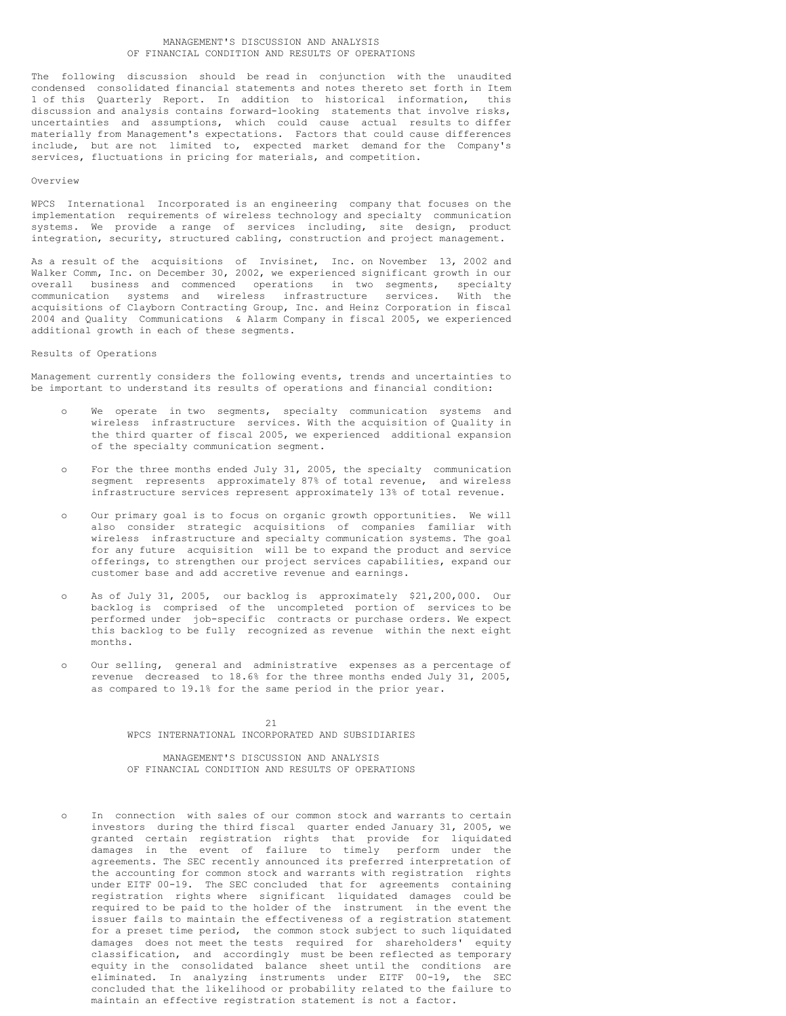## MANAGEMENT'S DISCUSSION AND ANALYSIS OF FINANCIAL CONDITION AND RESULTS OF OPERATIONS

The following discussion should be read in conjunction with the unaudited condensed consolidated financial statements and notes thereto set forth in Item 1 of this Quarterly Report. In addition to historical information, this discussion and analysis contains forward-looking statements that involve risks, uncertainties and assumptions, which could cause actual results to differ materially from Management's expectations. Factors that could cause differences include, but are not limited to, expected market demand for the Company's services, fluctuations in pricing for materials, and competition.

#### Overview

WPCS International Incorporated is an engineering company that focuses on the implementation requirements of wireless technology and specialty communication systems. We provide a range of services including, site design, product integration, security, structured cabling, construction and project management.

As a result of the acquisitions of Invisinet, Inc. on November 13, 2002 and Walker Comm, Inc. on December 30, 2002, we experienced significant growth in our overall business and commenced operations in two segments, specialty communication systems and wireless infrastructure services. With the acquisitions of Clayborn Contracting Group, Inc. and Heinz Corporation in fiscal 2004 and Quality Communications & Alarm Company in fiscal 2005, we experienced additional growth in each of these segments.

### Results of Operations

Management currently considers the following events, trends and uncertainties to be important to understand its results of operations and financial condition:

- o We operate in two segments, specialty communication systems and wireless infrastructure services. With the acquisition of Quality in the third quarter of fiscal 2005, we experienced additional expansion of the specialty communication segment.
- o For the three months ended July 31, 2005, the specialty communication segment represents approximately 87% of total revenue, and wireless infrastructure services represent approximately 13% of total revenue.
- o Our primary goal is to focus on organic growth opportunities. We will also consider strategic acquisitions of companies familiar with wireless infrastructure and specialty communication systems. The goal for any future acquisition will be to expand the product and service offerings, to strengthen our project services capabilities, expand our customer base and add accretive revenue and earnings.
- o As of July 31, 2005, our backlog is approximately \$21,200,000. Our backlog is comprised of the uncompleted portion of services to be performed under job-specific contracts or purchase orders. We expect this backlog to be fully recognized as revenue within the next eight months.
- o Our selling, general and administrative expenses as a percentage of revenue decreased to 18.6% for the three months ended July 31, 2005, as compared to 19.1% for the same period in the prior year.

21 WPCS INTERNATIONAL INCORPORATED AND SUBSIDIARIES

MANAGEMENT'S DISCUSSION AND ANALYSIS OF FINANCIAL CONDITION AND RESULTS OF OPERATIONS

In connection with sales of our common stock and warrants to certain investors during the third fiscal quarter ended January 31, 2005, we granted certain registration rights that provide for liquidated damages in the event of failure to timely perform under the agreements. The SEC recently announced its preferred interpretation of the accounting for common stock and warrants with registration rights under EITF 00-19. The SEC concluded that for agreements containing registration rights where significant liquidated damages could be required to be paid to the holder of the instrument in the event the issuer fails to maintain the effectiveness of a registration statement for a preset time period, the common stock subject to such liquidated damages does not meet the tests required for shareholders' equity classification, and accordingly must be been reflected as temporary equity in the consolidated balance sheet until the conditions are eliminated. In analyzing instruments under EITF 00-19, the SEC concluded that the likelihood or probability related to the failure to maintain an effective registration statement is not a factor.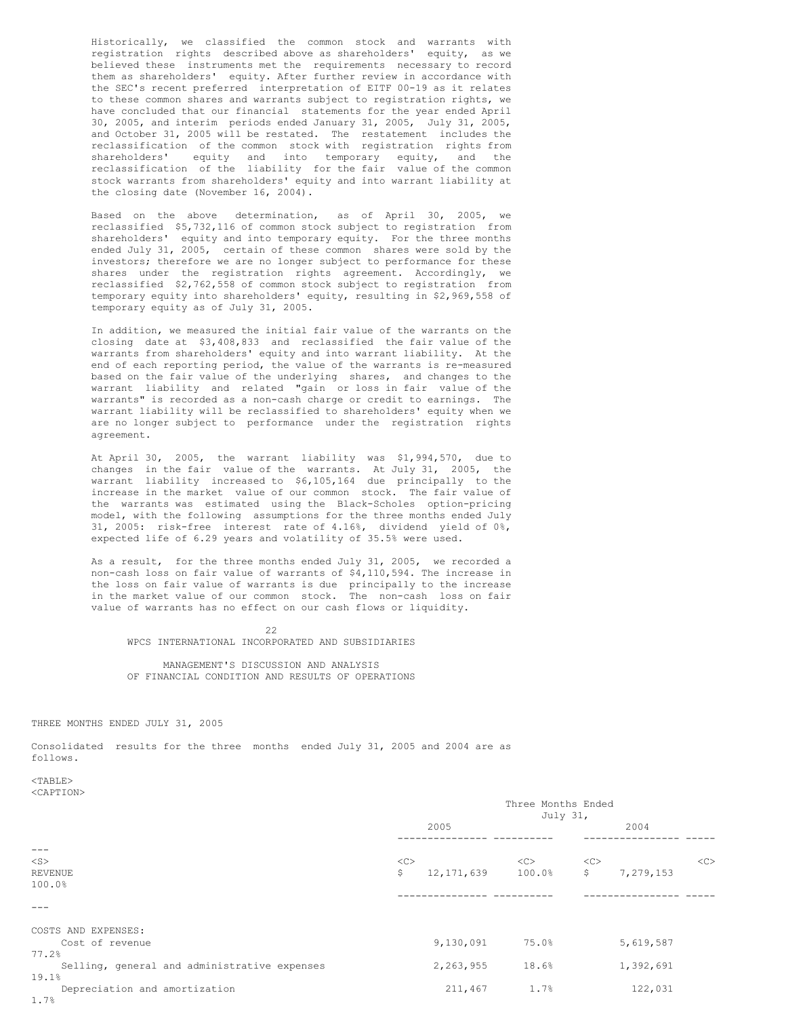Historically, we classified the common stock and warrants with registration rights described above as shareholders' equity, as we believed these instruments met the requirements necessary to record them as shareholders' equity. After further review in accordance with the SEC's recent preferred interpretation of EITF 00-19 as it relates to these common shares and warrants subject to registration rights, we have concluded that our financial statements for the year ended April 30, 2005, and interim periods ended January 31, 2005, July 31, 2005, and October 31, 2005 will be restated. The restatement includes the reclassification of the common stock with registration rights from shareholders' equity and into temporary equity, and the reclassification of the liability for the fair value of the common stock warrants from shareholders' equity and into warrant liability at the closing date (November 16, 2004).

Based on the above determination, as of April 30, 2005, we reclassified \$5,732,116 of common stock subject to registration from shareholders' equity and into temporary equity. For the three months ended July 31, 2005, certain of these common shares were sold by the investors; therefore we are no longer subject to performance for these shares under the registration rights agreement. Accordingly, we reclassified \$2,762,558 of common stock subject to registration from temporary equity into shareholders' equity, resulting in \$2,969,558 of temporary equity as of July 31, 2005.

In addition, we measured the initial fair value of the warrants on the closing date at \$3,408,833 and reclassified the fair value of the warrants from shareholders' equity and into warrant liability. At the end of each reporting period, the value of the warrants is re-measured based on the fair value of the underlying shares, and changes to the warrant liability and related "gain or loss in fair value of the warrants" is recorded as a non-cash charge or credit to earnings. The warrant liability will be reclassified to shareholders' equity when we are no longer subject to performance under the registration rights agreement.

At April 30, 2005, the warrant liability was \$1,994,570, due to changes in the fair value of the warrants. At July 31, 2005, the warrant liability increased to \$6,105,164 due principally to the increase in the market value of our common stock. The fair value of the warrants was estimated using the Black-Scholes option-pricing model, with the following assumptions for the three months ended July 31, 2005: risk-free interest rate of 4.16%, dividend yield of 0%, expected life of 6.29 years and volatility of 35.5% were used.

As a result, for the three months ended July 31, 2005, we recorded a non-cash loss on fair value of warrants of \$4,110,594. The increase in the loss on fair value of warrants is due principally to the increase in the market value of our common stock. The non-cash loss on fair value of warrants has no effect on our cash flows or liquidity.

22 WPCS INTERNATIONAL INCORPORATED AND SUBSIDIARIES

MANAGEMENT'S DISCUSSION AND ANALYSIS OF FINANCIAL CONDITION AND RESULTS OF OPERATIONS

### THREE MONTHS ENDED JULY 31, 2005

Consolidated results for the three months ended July 31, 2005 and 2004 are as follows.

 $<$ TABLE> <CAPTION>

|                                              |        | Three Months Ended<br>July 31, |        |            |           |    |
|----------------------------------------------|--------|--------------------------------|--------|------------|-----------|----|
|                                              |        | 2005                           |        |            | 2004      |    |
| $- - -$                                      |        |                                |        |            |           |    |
| $<$ S $>$                                    | $<$ C> |                                | <<>    | $<<$ C $>$ |           | << |
| <b>REVENUE</b>                               | \$     | 12, 171, 639                   | 100.0% | \$         | 7,279,153 |    |
| 100.0%                                       |        |                                |        |            |           |    |
|                                              |        |                                |        |            |           |    |
| COSTS AND EXPENSES:                          |        |                                |        |            |           |    |
| Cost of revenue                              |        | 9,130,091                      | 75.0%  |            | 5,619,587 |    |
| 77.2%                                        |        |                                |        |            |           |    |
| Selling, general and administrative expenses |        | 2,263,955                      | 18.6%  |            | 1,392,691 |    |
| 19.1%                                        |        |                                |        |            |           |    |
| Depreciation and amortization                |        | 211,467                        | 1.7%   |            | 122,031   |    |
| 1.7%                                         |        |                                |        |            |           |    |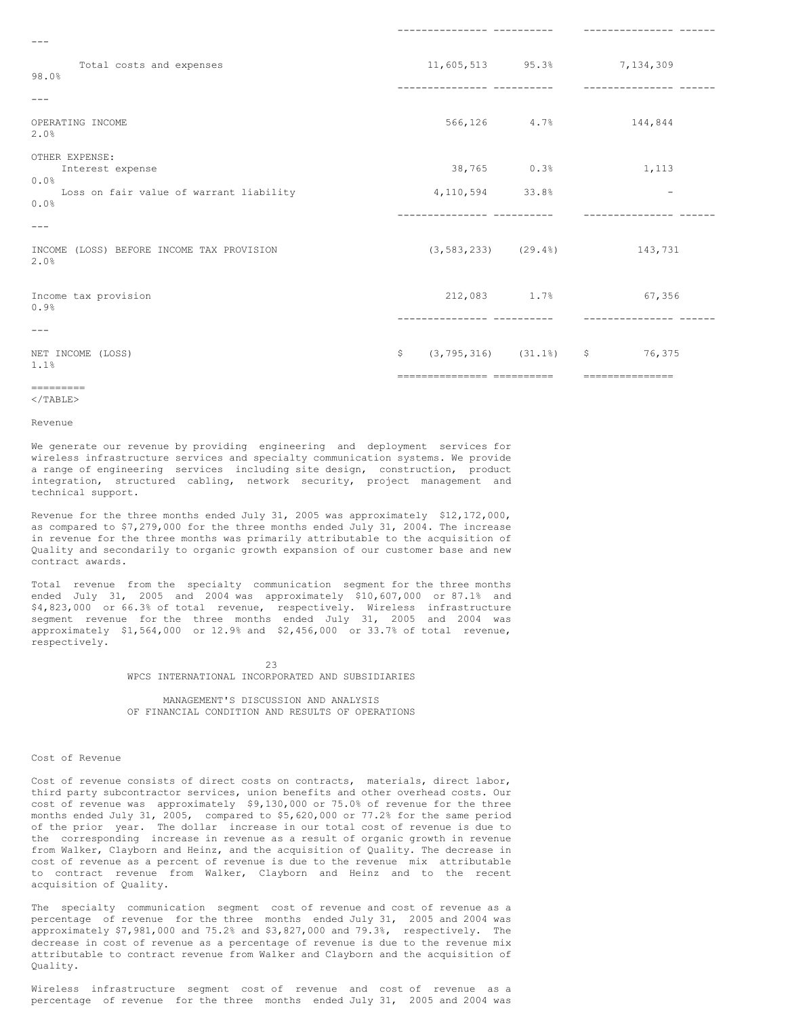|                                                   | ------------ -----------   |             |                                     |  |  |
|---------------------------------------------------|----------------------------|-------------|-------------------------------------|--|--|
| $\qquad \qquad -$                                 |                            |             |                                     |  |  |
| Total costs and expenses<br>98.0%                 |                            |             | 11,605,513 95.3% 7,134,309          |  |  |
|                                                   |                            |             |                                     |  |  |
| OPERATING INCOME<br>2.0%                          |                            |             | 566,126 4.7% 144,844                |  |  |
| OTHER EXPENSE:<br>Interest expense<br>0.0%        |                            | 38,765 0.3% | 1,113                               |  |  |
| Loss on fair value of warrant liability<br>0.0%   | 4, 110, 594 33.8%          |             | $\overline{\phantom{a}}$            |  |  |
| $- - -$                                           |                            |             |                                     |  |  |
| INCOME (LOSS) BEFORE INCOME TAX PROVISION<br>2.0% |                            |             | $(3, 583, 233)$ $(29.4\%)$ 143, 731 |  |  |
| Income tax provision<br>0.9%                      |                            |             | 212,083 1.7% 67,356                 |  |  |
| $---$                                             | ------------- ---------    |             |                                     |  |  |
| NET INCOME (LOSS)<br>1.1%                         | \$                         |             | $(3, 795, 316)$ $(31.1%)$ \$ 76,375 |  |  |
|                                                   | ========================== |             | ================                    |  |  |

=========  $\langle$ /TABLE>

Revenue

We generate our revenue by providing engineering and deployment services for wireless infrastructure services and specialty communication systems. We provide a range of engineering services including site design, construction, product integration, structured cabling, network security, project management and technical support.

Revenue for the three months ended July 31, 2005 was approximately \$12,172,000, as compared to \$7,279,000 for the three months ended July 31, 2004. The increase in revenue for the three months was primarily attributable to the acquisition of Quality and secondarily to organic growth expansion of our customer base and new contract awards.

Total revenue from the specialty communication segment for the three months ended July 31, 2005 and 2004 was approximately \$10,607,000 or 87.1% and \$4,823,000 or 66.3% of total revenue, respectively. Wireless infrastructure segment revenue for the three months ended July 31, 2005 and 2004 was approximately  $$1,564,000$  or  $12.9\%$  and  $$2,456,000$  or  $33.7\%$  of total revenue, respectively.

> 23 WPCS INTERNATIONAL INCORPORATED AND SUBSIDIARIES

MANAGEMENT'S DISCUSSION AND ANALYSIS OF FINANCIAL CONDITION AND RESULTS OF OPERATIONS

### Cost of Revenue

Cost of revenue consists of direct costs on contracts, materials, direct labor, third party subcontractor services, union benefits and other overhead costs. Our cost of revenue was approximately \$9,130,000 or 75.0% of revenue for the three months ended July 31, 2005, compared to \$5,620,000 or 77.2% for the same period of the prior year. The dollar increase in our total cost of revenue is due to the corresponding increase in revenue as a result of organic growth in revenue from Walker, Clayborn and Heinz, and the acquisition of Quality. The decrease in cost of revenue as a percent of revenue is due to the revenue mix attributable to contract revenue from Walker, Clayborn and Heinz and to the recent acquisition of Quality.

The specialty communication segment cost of revenue and cost of revenue as a percentage of revenue for the three months ended July 31, 2005 and 2004 was approximately \$7,981,000 and 75.2% and \$3,827,000 and 79.3%, respectively. The decrease in cost of revenue as a percentage of revenue is due to the revenue mix attributable to contract revenue from Walker and Clayborn and the acquisition of Quality.

Wireless infrastructure segment cost of revenue and cost of revenue as a percentage of revenue for the three months ended July 31, 2005 and 2004 was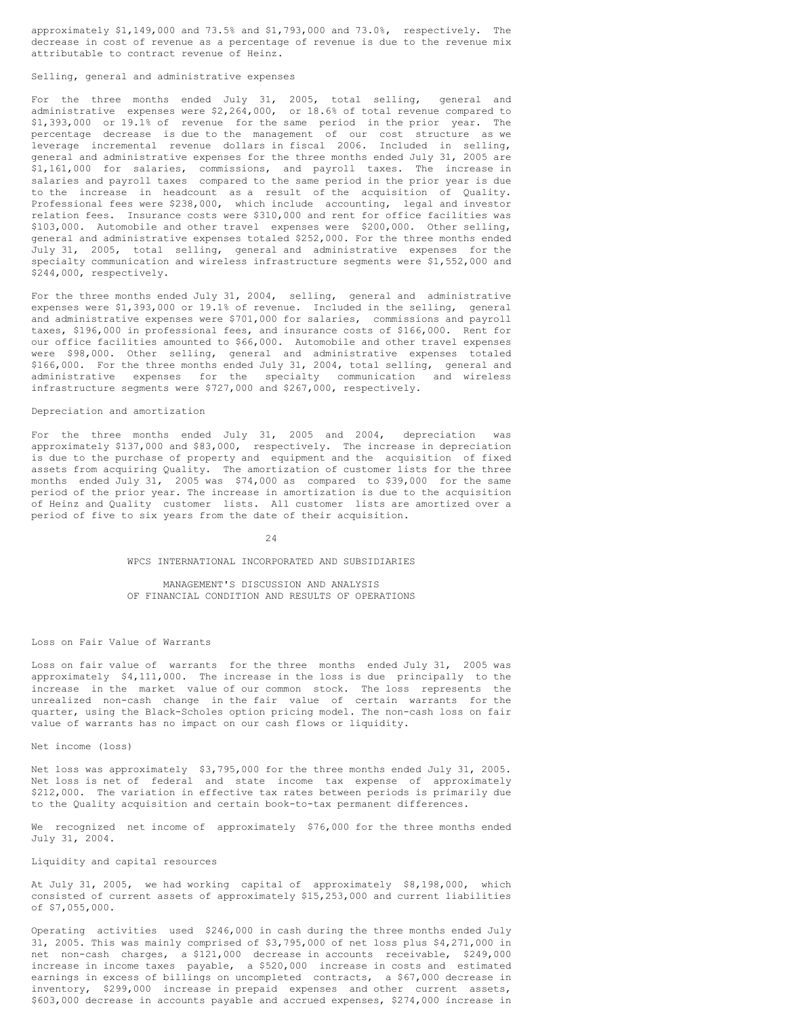approximately \$1,149,000 and 73.5% and \$1,793,000 and 73.0%, respectively. The decrease in cost of revenue as a percentage of revenue is due to the revenue mix attributable to contract revenue of Heinz.

Selling, general and administrative expenses

For the three months ended July 31, 2005, total selling, general and administrative expenses were \$2,264,000, or 18.6% of total revenue compared to \$1,393,000 or 19.1% of revenue for the same period in the prior year. The percentage decrease is due to the management of our cost structure as we leverage incremental revenue dollars in fiscal 2006. Included in selling, general and administrative expenses for the three months ended July 31, 2005 are \$1,161,000 for salaries, commissions, and payroll taxes. The increase in salaries and payroll taxes compared to the same period in the prior year is due to the increase in headcount as a result of the acquisition of Quality. Professional fees were \$238,000, which include accounting, legal and investor relation fees. Insurance costs were \$310,000 and rent for office facilities was \$103,000. Automobile and other travel expenses were \$200,000. Other selling, general and administrative expenses totaled \$252,000. For the three months ended July 31, 2005, total selling, general and administrative expenses for the specialty communication and wireless infrastructure segments were \$1,552,000 and \$244,000, respectively.

For the three months ended July 31, 2004, selling, general and administrative expenses were \$1,393,000 or 19.1% of revenue. Included in the selling, general and administrative expenses were \$701,000 for salaries, commissions and payroll taxes, \$196,000 in professional fees, and insurance costs of \$166,000. Rent for our office facilities amounted to \$66,000. Automobile and other travel expenses were \$98,000. Other selling, general and administrative expenses totaled \$166,000. For the three months ended July 31, 2004, total selling, general and administrative expenses for the specialty communication and wireless infrastructure segments were \$727,000 and \$267,000, respectively.

#### Depreciation and amortization

For the three months ended July 31, 2005 and 2004, depreciation was approximately \$137,000 and \$83,000, respectively. The increase in depreciation is due to the purchase of property and equipment and the acquisition of fixed assets from acquiring Quality. The amortization of customer lists for the three months ended July 31, 2005 was \$74,000 as compared to \$39,000 for the same period of the prior year. The increase in amortization is due to the acquisition of Heinz and Quality customer lists. All customer lists are amortized over a period of five to six years from the date of their acquisition.

#### 24

#### WPCS INTERNATIONAL INCORPORATED AND SUBSIDIARIES

MANAGEMENT'S DISCUSSION AND ANALYSIS OF FINANCIAL CONDITION AND RESULTS OF OPERATIONS

### Loss on Fair Value of Warrants

Loss on fair value of warrants for the three months ended July 31, 2005 was approximately \$4,111,000. The increase in the loss is due principally to the increase in the market value of our common stock. The loss represents the unrealized non-cash change in the fair value of certain warrants for the quarter, using the Black-Scholes option pricing model. The non-cash loss on fair value of warrants has no impact on our cash flows or liquidity.

Net income (loss)

Net loss was approximately \$3,795,000 for the three months ended July 31, 2005. Net loss is net of federal and state income tax expense of approximately \$212,000. The variation in effective tax rates between periods is primarily due to the Quality acquisition and certain book-to-tax permanent differences.

We recognized net income of approximately \$76,000 for the three months ended July 31, 2004.

### Liquidity and capital resources

At July 31, 2005, we had working capital of approximately \$8,198,000, which consisted of current assets of approximately \$15,253,000 and current liabilities of \$7,055,000.

Operating activities used \$246,000 in cash during the three months ended July 31, 2005. This was mainly comprised of \$3,795,000 of net loss plus \$4,271,000 in net non-cash charges, a \$121,000 decrease in accounts receivable, \$249,000 increase in income taxes payable, a \$520,000 increase in costs and estimated earnings in excess of billings on uncompleted contracts, a \$67,000 decrease in inventory, \$299,000 increase in prepaid expenses and other current assets, \$603,000 decrease in accounts payable and accrued expenses, \$274,000 increase in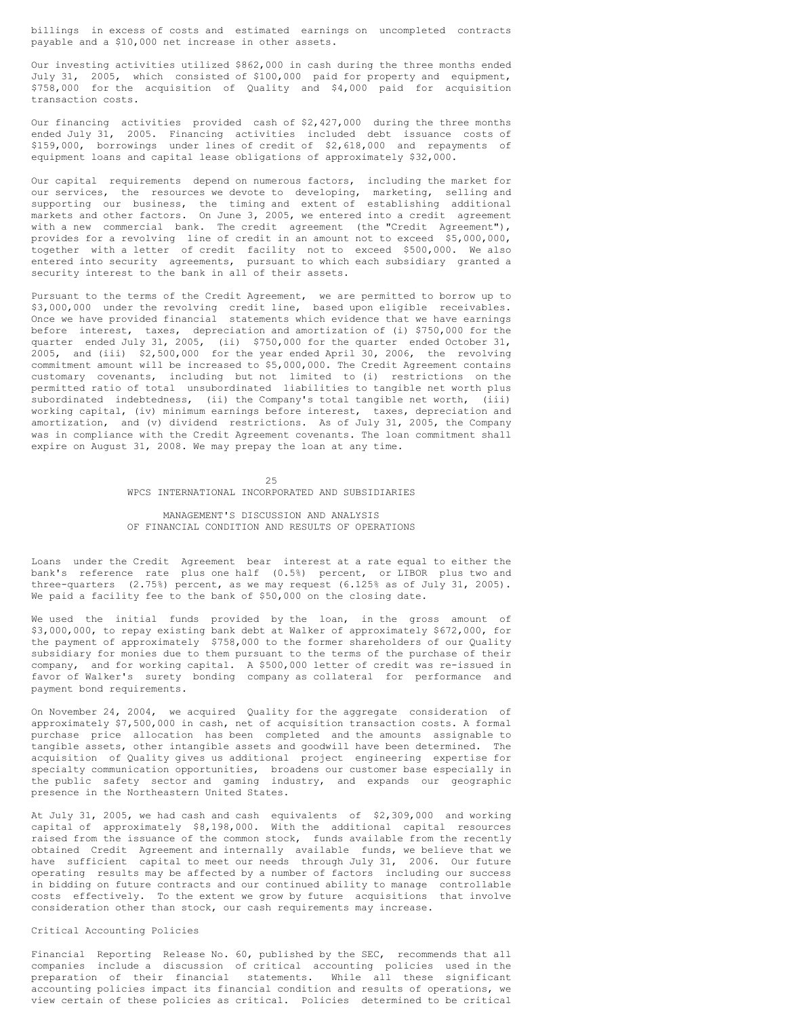billings in excess of costs and estimated earnings on uncompleted contracts payable and a \$10,000 net increase in other assets.

Our investing activities utilized \$862,000 in cash during the three months ended July 31, 2005, which consisted of \$100,000 paid for property and equipment, \$758,000 for the acquisition of Quality and \$4,000 paid for acquisition transaction costs.

Our financing activities provided cash of \$2,427,000 during the three months ended July 31, 2005. Financing activities included debt issuance costs of \$159,000, borrowings under lines of credit of \$2,618,000 and repayments of equipment loans and capital lease obligations of approximately \$32,000.

Our capital requirements depend on numerous factors, including the market for our services, the resources we devote to developing, marketing, selling and supporting our business, the timing and extent of establishing additional markets and other factors. On June 3, 2005, we entered into a credit agreement with a new commercial bank. The credit agreement (the "Credit Agreement"), provides for a revolving line of credit in an amount not to exceed \$5,000,000, together with a letter of credit facility not to exceed \$500,000. We also entered into security agreements, pursuant to which each subsidiary granted a security interest to the bank in all of their assets.

Pursuant to the terms of the Credit Agreement, we are permitted to borrow up to \$3,000,000 under the revolving credit line, based upon eligible receivables. Once we have provided financial statements which evidence that we have earnings before interest, taxes, depreciation and amortization of (i) \$750,000 for the quarter ended July 31, 2005, (ii) \$750,000 for the quarter ended October 31, 2005, and (iii) \$2,500,000 for the year ended April 30, 2006, the revolving commitment amount will be increased to \$5,000,000. The Credit Agreement contains customary covenants, including but not limited to (i) restrictions on the permitted ratio of total unsubordinated liabilities to tangible net worth plus subordinated indebtedness, (ii) the Company's total tangible net worth, (iii) working capital, (iv) minimum earnings before interest, taxes, depreciation and amortization, and (v) dividend restrictions. As of July 31, 2005, the Company was in compliance with the Credit Agreement covenants. The loan commitment shall expire on August 31, 2008. We may prepay the loan at any time.

> 25 WPCS INTERNATIONAL INCORPORATED AND SUBSIDIARIES

## MANAGEMENT'S DISCUSSION AND ANALYSIS OF FINANCIAL CONDITION AND RESULTS OF OPERATIONS

Loans under the Credit Agreement bear interest at a rate equal to either the bank's reference rate plus one half (0.5%) percent, or LIBOR plus two and three-quarters (2.75%) percent, as we may request (6.125% as of July 31, 2005). We paid a facility fee to the bank of \$50,000 on the closing date.

We used the initial funds provided by the loan, in the gross amount of \$3,000,000, to repay existing bank debt at Walker of approximately \$672,000, for the payment of approximately \$758,000 to the former shareholders of our Quality subsidiary for monies due to them pursuant to the terms of the purchase of their company, and for working capital. A \$500,000 letter of credit was re-issued in favor of Walker's surety bonding company as collateral for performance and payment bond requirements.

On November 24, 2004, we acquired Quality for the aggregate consideration of approximately \$7,500,000 in cash, net of acquisition transaction costs. A formal purchase price allocation has been completed and the amounts assignable to tangible assets, other intangible assets and goodwill have been determined. The acquisition of Quality gives us additional project engineering expertise for specialty communication opportunities, broadens our customer base especially in the public safety sector and gaming industry, and expands our geographic presence in the Northeastern United States.

At July 31, 2005, we had cash and cash equivalents of \$2,309,000 and working capital of approximately \$8,198,000. With the additional capital resources raised from the issuance of the common stock, funds available from the recently obtained Credit Agreement and internally available funds, we believe that we have sufficient capital to meet our needs through July 31, 2006. Our future operating results may be affected by a number of factors including our success in bidding on future contracts and our continued ability to manage controllable costs effectively. To the extent we grow by future acquisitions that involve consideration other than stock, our cash requirements may increase.

# Critical Accounting Policies

Financial Reporting Release No. 60, published by the SEC, recommends that all companies include a discussion of critical accounting policies used in the preparation of their financial statements. While all these significant accounting policies impact its financial condition and results of operations, we view certain of these policies as critical. Policies determined to be critical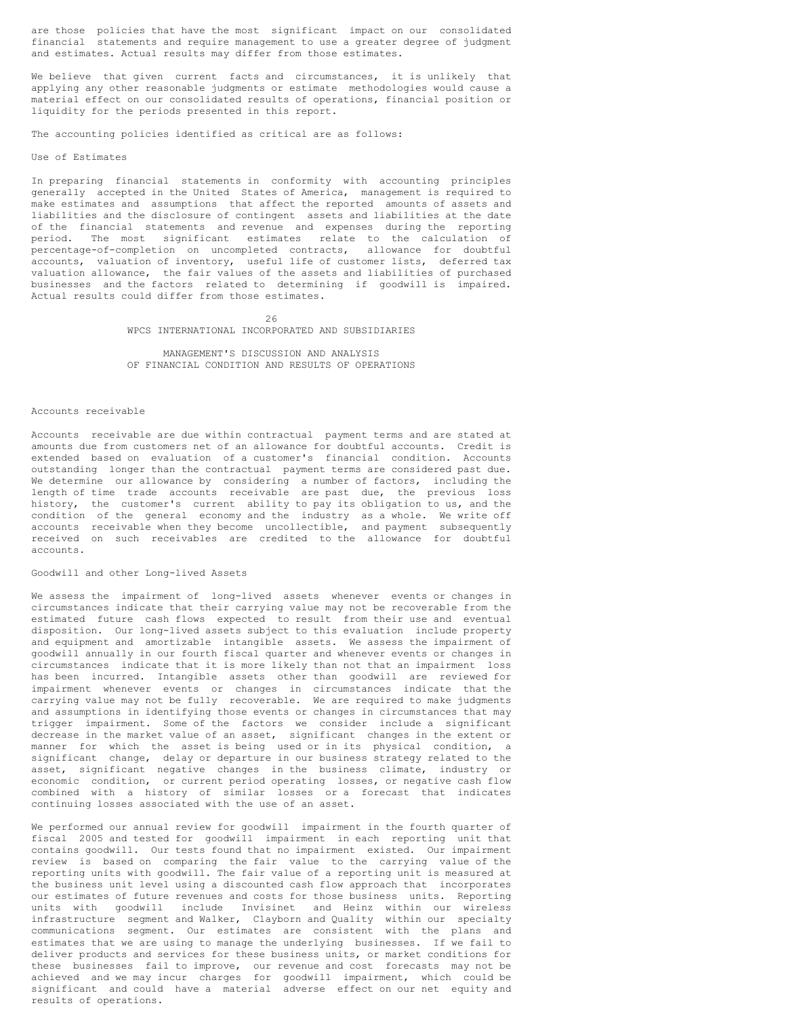are those policies that have the most significant impact on our consolidated financial statements and require management to use a greater degree of judgment and estimates. Actual results may differ from those estimates.

We believe that given current facts and circumstances, it is unlikely that applying any other reasonable judgments or estimate methodologies would cause a material effect on our consolidated results of operations, financial position or liquidity for the periods presented in this report.

The accounting policies identified as critical are as follows:

#### Use of Estimates

In preparing financial statements in conformity with accounting principles generally accepted in the United States of America, management is required to make estimates and assumptions that affect the reported amounts of assets and liabilities and the disclosure of contingent assets and liabilities at the date of the financial statements and revenue and expenses during the reporting period. The most significant estimates relate to the calculation of percentage-of-completion on uncompleted contracts, allowance for doubtful accounts, valuation of inventory, useful life of customer lists, deferred tax valuation allowance, the fair values of the assets and liabilities of purchased businesses and the factors related to determining if goodwill is impaired. Actual results could differ from those estimates.

> 26 WPCS INTERNATIONAL INCORPORATED AND SUBSIDIARIES

> MANAGEMENT'S DISCUSSION AND ANALYSIS OF FINANCIAL CONDITION AND RESULTS OF OPERATIONS

#### Accounts receivable

Accounts receivable are due within contractual payment terms and are stated at amounts due from customers net of an allowance for doubtful accounts. Credit is extended based on evaluation of a customer's financial condition. Accounts outstanding longer than the contractual payment terms are considered past due. We determine our allowance by considering a number of factors, including the length of time trade accounts receivable are past due, the previous loss history, the customer's current ability to pay its obligation to us, and the condition of the general economy and the industry as a whole. We write off accounts receivable when they become uncollectible, and payment subsequently received on such receivables are credited to the allowance for doubtful accounts.

## Goodwill and other Long-lived Assets

We assess the impairment of long-lived assets whenever events or changes in circumstances indicate that their carrying value may not be recoverable from the estimated future cash flows expected to result from their use and eventual disposition. Our long-lived assets subject to this evaluation include property and equipment and amortizable intangible assets. We assess the impairment of goodwill annually in our fourth fiscal quarter and whenever events or changes in circumstances indicate that it is more likely than not that an impairment loss has been incurred. Intangible assets other than goodwill are reviewed for impairment whenever events or changes in circumstances indicate that the carrying value may not be fully recoverable. We are required to make judgments and assumptions in identifying those events or changes in circumstances that may trigger impairment. Some of the factors we consider include a significant decrease in the market value of an asset, significant changes in the extent or manner for which the asset is being used or in its physical condition, a significant change, delay or departure in our business strategy related to the asset, significant negative changes in the business climate, industry or economic condition, or current period operating losses, or negative cash flow combined with a history of similar losses or a forecast that indicates continuing losses associated with the use of an asset.

We performed our annual review for goodwill impairment in the fourth quarter of fiscal 2005 and tested for goodwill impairment in each reporting unit that contains goodwill. Our tests found that no impairment existed. Our impairment review is based on comparing the fair value to the carrying value of the reporting units with goodwill. The fair value of a reporting unit is measured at the business unit level using a discounted cash flow approach that incorporates our estimates of future revenues and costs for those business units. Reporting units with goodwill include Invisinet and Heinz within our wireless infrastructure segment and Walker, Clayborn and Quality within our specialty communications segment. Our estimates are consistent with the plans and estimates that we are using to manage the underlying businesses. If we fail to deliver products and services for these business units, or market conditions for these businesses fail to improve, our revenue and cost forecasts may not be achieved and we may incur charges for goodwill impairment, which could be significant and could have a material adverse effect on our net equity and results of operations.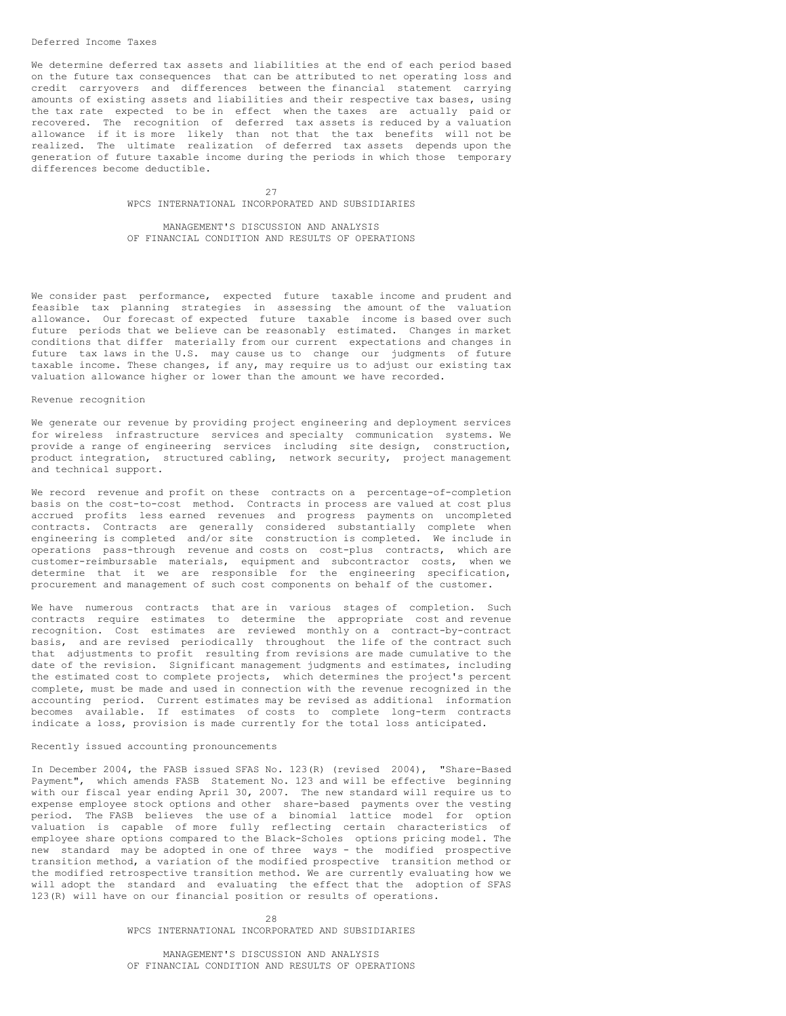#### Deferred Income Taxes

We determine deferred tax assets and liabilities at the end of each period based on the future tax consequences that can be attributed to net operating loss and credit carryovers and differences between the financial statement carrying amounts of existing assets and liabilities and their respective tax bases, using the tax rate expected to be in effect when the taxes are actually paid or recovered. The recognition of deferred tax assets is reduced by a valuation allowance if it is more likely than not that the tax benefits will not be realized. The ultimate realization of deferred tax assets depends upon the generation of future taxable income during the periods in which those temporary differences become deductible.

> 27 WPCS INTERNATIONAL INCORPORATED AND SUBSIDIARIES

> MANAGEMENT'S DISCUSSION AND ANALYSIS OF FINANCIAL CONDITION AND RESULTS OF OPERATIONS

We consider past performance, expected future taxable income and prudent and feasible tax planning strategies in assessing the amount of the valuation allowance. Our forecast of expected future taxable income is based over such future periods that we believe can be reasonably estimated. Changes in market conditions that differ materially from our current expectations and changes in future tax laws in the U.S. may cause us to change our judgments of future taxable income. These changes, if any, may require us to adjust our existing tax valuation allowance higher or lower than the amount we have recorded.

# Revenue recognition

We generate our revenue by providing project engineering and deployment services for wireless infrastructure services and specialty communication systems. We provide a range of engineering services including site design, construction, product integration, structured cabling, network security, project management and technical support.

We record revenue and profit on these contracts on a percentage-of-completion basis on the cost-to-cost method. Contracts in process are valued at cost plus accrued profits less earned revenues and progress payments on uncompleted contracts. Contracts are generally considered substantially complete when engineering is completed and/or site construction is completed. We include in operations pass-through revenue and costs on cost-plus contracts, which are customer-reimbursable materials, equipment and subcontractor costs, when we determine that it we are responsible for the engineering specification, procurement and management of such cost components on behalf of the customer.

We have numerous contracts that are in various stages of completion. Such contracts require estimates to determine the appropriate cost and revenue recognition. Cost estimates are reviewed monthly on a contract-by-contract basis, and are revised periodically throughout the life of the contract such that adjustments to profit resulting from revisions are made cumulative to the date of the revision. Significant management judgments and estimates, including the estimated cost to complete projects, which determines the project's percent complete, must be made and used in connection with the revenue recognized in the accounting period. Current estimates may be revised as additional information becomes available. If estimates of costs to complete long-term contracts indicate a loss, provision is made currently for the total loss anticipated.

# Recently issued accounting pronouncements

In December 2004, the FASB issued SFAS No. 123(R) (revised 2004), "Share-Based Payment", which amends FASB Statement No. 123 and will be effective beginning with our fiscal year ending April 30, 2007. The new standard will require us to expense employee stock options and other share-based payments over the vesting period. The FASB believes the use of a binomial lattice model for option valuation is capable of more fully reflecting certain characteristics of employee share options compared to the Black-Scholes options pricing model. The new standard may be adopted in one of three ways - the modified prospective transition method, a variation of the modified prospective transition method or the modified retrospective transition method. We are currently evaluating how we will adopt the standard and evaluating the effect that the adoption of SFAS 123(R) will have on our financial position or results of operations.

> 28 WPCS INTERNATIONAL INCORPORATED AND SUBSIDIARIES

> MANAGEMENT'S DISCUSSION AND ANALYSIS OF FINANCIAL CONDITION AND RESULTS OF OPERATIONS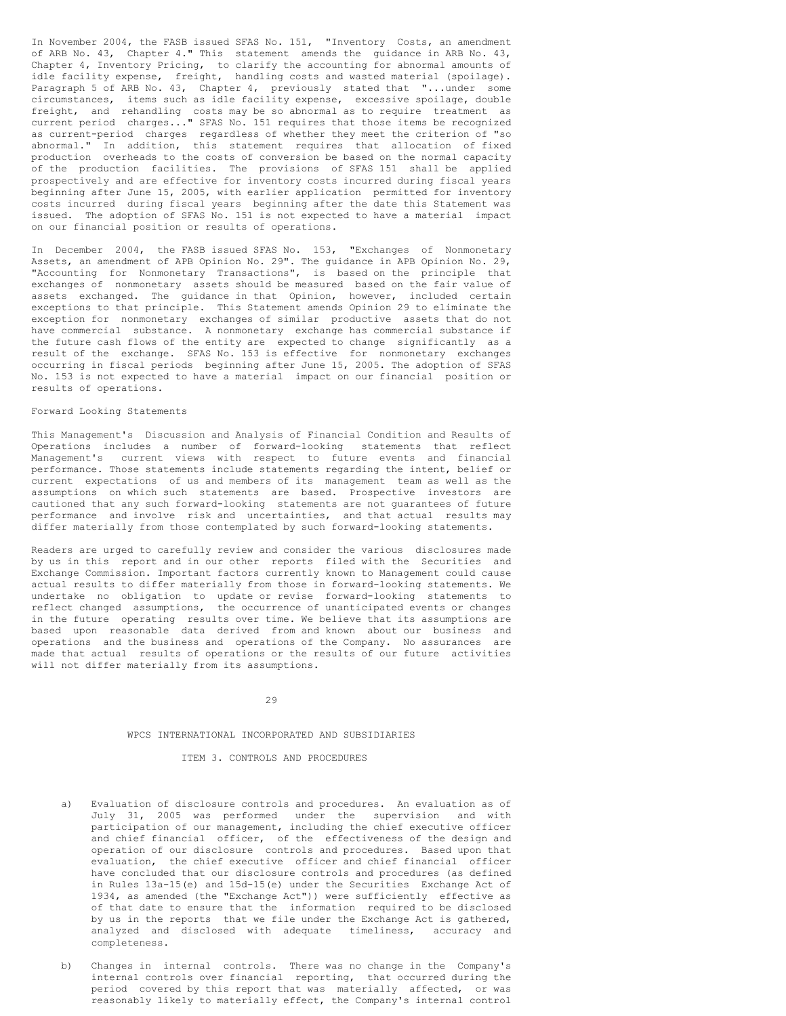In November 2004, the FASB issued SFAS No. 151, "Inventory Costs, an amendment of ARB No. 43, Chapter 4." This statement amends the guidance in ARB No. 43, Chapter 4, Inventory Pricing, to clarify the accounting for abnormal amounts of idle facility expense, freight, handling costs and wasted material (spoilage). Paragraph 5 of ARB No. 43, Chapter 4, previously stated that "...under some circumstances, items such as idle facility expense, excessive spoilage, double freight, and rehandling costs may be so abnormal as to require treatment as current period charges..." SFAS No. 151 requires that those items be recognized as current-period charges regardless of whether they meet the criterion of "so abnormal." In addition, this statement requires that allocation of fixed production overheads to the costs of conversion be based on the normal capacity of the production facilities. The provisions of SFAS 151 shall be applied prospectively and are effective for inventory costs incurred during fiscal years beginning after June 15, 2005, with earlier application permitted for inventory costs incurred during fiscal years beginning after the date this Statement was issued. The adoption of SFAS No. 151 is not expected to have a material impact on our financial position or results of operations.

In December 2004, the FASB issued SFAS No. 153, "Exchanges of Nonmonetary Assets, an amendment of APB Opinion No. 29". The guidance in APB Opinion No. 29, "Accounting for Nonmonetary Transactions", is based on the principle that exchanges of nonmonetary assets should be measured based on the fair value of assets exchanged. The guidance in that Opinion, however, included certain exceptions to that principle. This Statement amends Opinion 29 to eliminate the exception for nonmonetary exchanges of similar productive assets that do not have commercial substance. A nonmonetary exchange has commercial substance if the future cash flows of the entity are expected to change significantly as a result of the exchange. SFAS No. 153 is effective for nonmonetary exchanges occurring in fiscal periods beginning after June 15, 2005. The adoption of SFAS No. 153 is not expected to have a material impact on our financial position or results of operations.

### Forward Looking Statements

This Management's Discussion and Analysis of Financial Condition and Results of Operations includes a number of forward-looking statements that reflect Management's current views with respect to future events and financial performance. Those statements include statements regarding the intent, belief or current expectations of us and members of its management team as well as the assumptions on which such statements are based. Prospective investors are cautioned that any such forward-looking statements are not guarantees of future performance and involve risk and uncertainties, and that actual results may differ materially from those contemplated by such forward-looking statements.

Readers are urged to carefully review and consider the various disclosures made by us in this report and in our other reports filed with the Securities and Exchange Commission. Important factors currently known to Management could cause actual results to differ materially from those in forward-looking statements. We undertake no obligation to update or revise forward-looking statements to reflect changed assumptions, the occurrence of unanticipated events or changes in the future operating results over time. We believe that its assumptions are based upon reasonable data derived from and known about our business and operations and the business and operations of the Company. No assurances are made that actual results of operations or the results of our future activities will not differ materially from its assumptions.

29

#### WPCS INTERNATIONAL INCORPORATED AND SUBSIDIARIES

#### ITEM 3. CONTROLS AND PROCEDURES

- a) Evaluation of disclosure controls and procedures. An evaluation as of July 31, 2005 was performed under the supervision and with participation of our management, including the chief executive officer and chief financial officer, of the effectiveness of the design and operation of our disclosure controls and procedures. Based upon that evaluation, the chief executive officer and chief financial officer have concluded that our disclosure controls and procedures (as defined in Rules 13a-15(e) and 15d-15(e) under the Securities Exchange Act of 1934, as amended (the "Exchange Act")) were sufficiently effective as of that date to ensure that the information required to be disclosed by us in the reports that we file under the Exchange Act is gathered, analyzed and disclosed with adequate timeliness, accuracy and completeness.
- b) Changes in internal controls. There was no change in the Company's internal controls over financial reporting, that occurred during the period covered by this report that was materially affected, or was reasonably likely to materially effect, the Company's internal control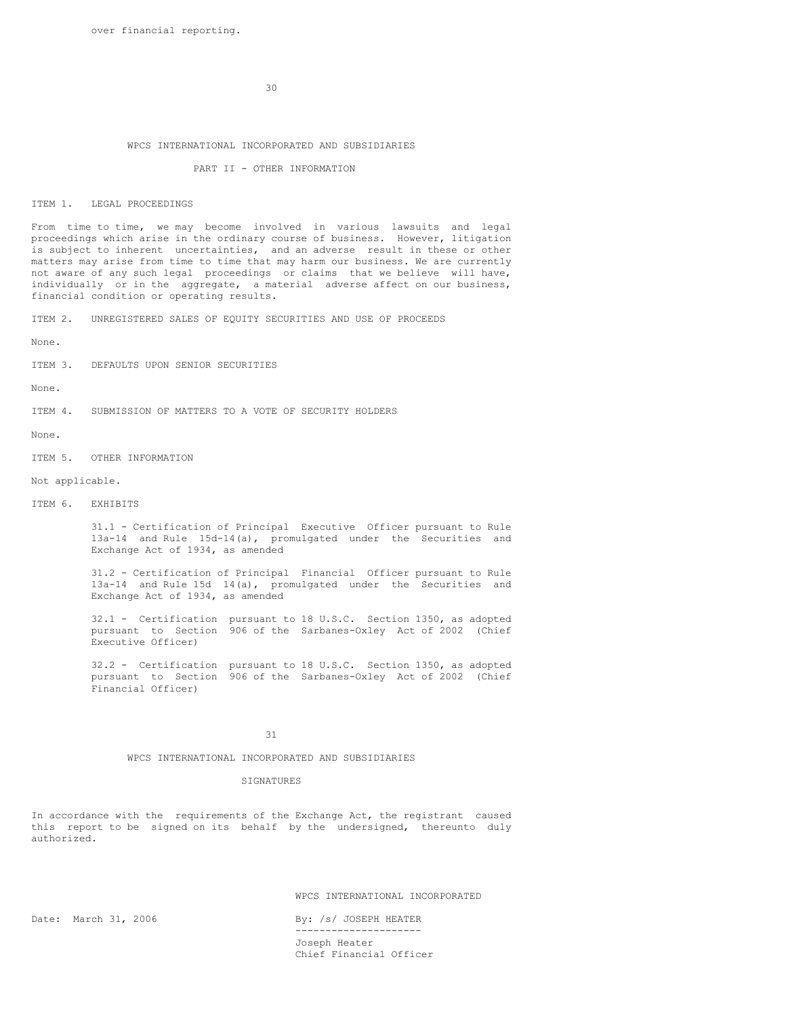30

## WPCS INTERNATIONAL INCORPORATED AND SUBSIDIARIES

### PART II - OTHER INFORMATION

## ITEM 1. LEGAL PROCEEDINGS

From time to time, we may become involved in various lawsuits and legal proceedings which arise in the ordinary course of business. However, litigation is subject to inherent uncertainties, and an adverse result in these or other matters may arise from time to time that may harm our business. We are currently not aware of any such legal proceedings or claims that we believe will have, individually or in the aggregate, a material adverse affect on our business, financial condition or operating results.

ITEM 2. UNREGISTERED SALES OF EQUITY SECURITIES AND USE OF PROCEEDS

None.

ITEM 3. DEFAULTS UPON SENIOR SECURITIES

None.

ITEM 4. SUBMISSION OF MATTERS TO A VOTE OF SECURITY HOLDERS

None.

ITEM 5. OTHER INFORMATION

Not applicable.

ITEM 6. EXHIBITS

31.1 - Certification of Principal Executive Officer pursuant to Rule 13a-14 and Rule 15d-14(a), promulgated under the Securities and Exchange Act of 1934, as amended

31.2 - Certification of Principal Financial Officer pursuant to Rule 13a-14 and Rule 15d 14(a), promulgated under the Securities and Exchange Act of 1934, as amended

32.1 - Certification pursuant to 18 U.S.C. Section 1350, as adopted pursuant to Section 906 of the Sarbanes-Oxley Act of 2002 (Chief Executive Officer)

32.2 - Certification pursuant to 18 U.S.C. Section 1350, as adopted pursuant to Section 906 of the Sarbanes-Oxley Act of 2002 (Chief Financial Officer)

31

WPCS INTERNATIONAL INCORPORATED AND SUBSIDIARIES

# **SIGNATURES**

In accordance with the requirements of the Exchange Act, the registrant caused this report to be signed on its behalf by the undersigned, thereunto duly authorized.

WPCS INTERNATIONAL INCORPORATED

Date: March 31, 2006 By: /s/ JOSEPH HEATER

--------------------- Joseph Heater Chief Financial Officer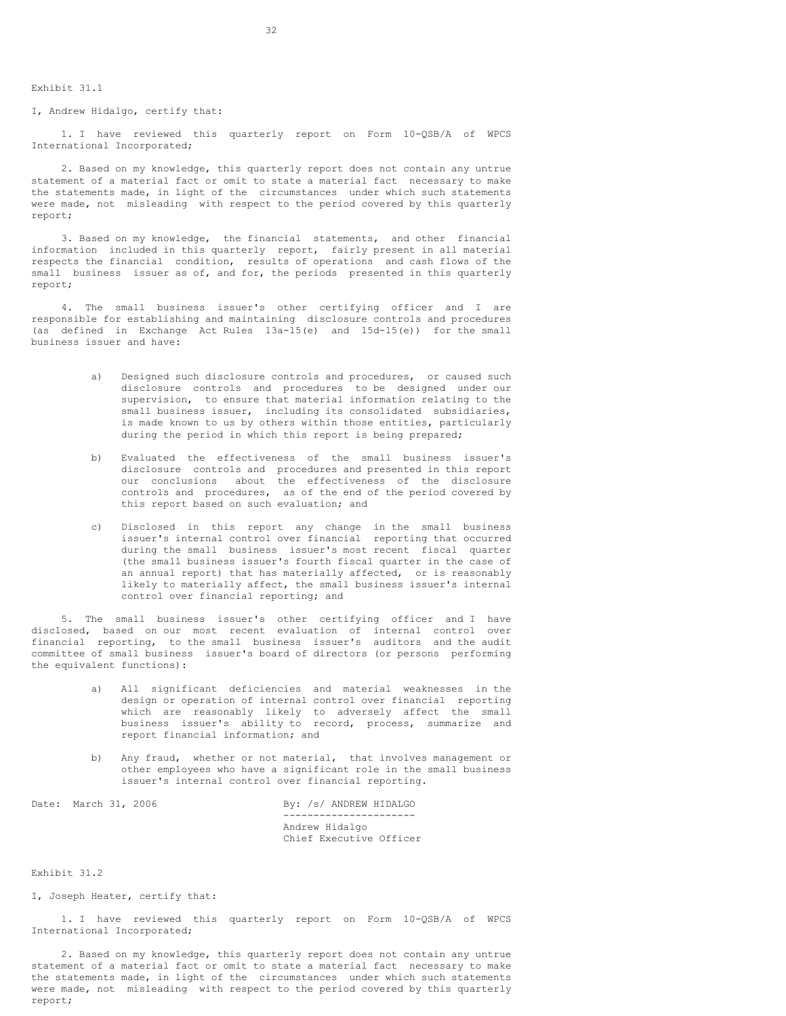Exhibit 31.1

I, Andrew Hidalgo, certify that:

1. I have reviewed this quarterly report on Form 10-QSB/A of WPCS International Incorporated;

2. Based on my knowledge, this quarterly report does not contain any untrue statement of a material fact or omit to state a material fact necessary to make the statements made, in light of the circumstances under which such statements were made, not misleading with respect to the period covered by this quarterly report;

3. Based on my knowledge, the financial statements, and other financial information included in this quarterly report, fairly present in all material respects the financial condition, results of operations and cash flows of the small business issuer as of, and for, the periods presented in this quarterly report;

4. The small business issuer's other certifying officer and I are responsible for establishing and maintaining disclosure controls and procedures (as defined in Exchange Act Rules 13a-15(e) and 15d-15(e)) for the small business issuer and have:

- a) Designed such disclosure controls and procedures, or caused such disclosure controls and procedures to be designed under our supervision, to ensure that material information relating to the small business issuer, including its consolidated subsidiaries, is made known to us by others within those entities, particularly during the period in which this report is being prepared;
- b) Evaluated the effectiveness of the small business issuer's disclosure controls and procedures and presented in this report our conclusions about the effectiveness of the disclosure controls and procedures, as of the end of the period covered by this report based on such evaluation; and
- c) Disclosed in this report any change in the small business issuer's internal control over financial reporting that occurred during the small business issuer's most recent fiscal quarter (the small business issuer's fourth fiscal quarter in the case of an annual report) that has materially affected, or is reasonably likely to materially affect, the small business issuer's internal control over financial reporting; and

5. The small business issuer's other certifying officer and I have disclosed, based on our most recent evaluation of internal control over financial reporting, to the small business issuer's auditors and the audit committee of small business issuer's board of directors (or persons performing the equivalent functions):

- All significant deficiencies and material weaknesses in the design or operation of internal control over financial reporting which are reasonably likely to adversely affect the small business issuer's ability to record, process, summarize and report financial information; and
- b) Any fraud, whether or not material, that involves management or other employees who have a significant role in the small business issuer's internal control over financial reporting.

Date: March 31, 2006 By: /s/ ANDREW HIDALGO ---------------------- Andrew Hidalgo

Chief Executive Officer

Exhibit 31.2

I, Joseph Heater, certify that:

1. I have reviewed this quarterly report on Form 10-QSB/A of WPCS International Incorporated;

2. Based on my knowledge, this quarterly report does not contain any untrue statement of a material fact or omit to state a material fact necessary to make the statements made, in light of the circumstances under which such statements were made, not misleading with respect to the period covered by this quarterly report;

32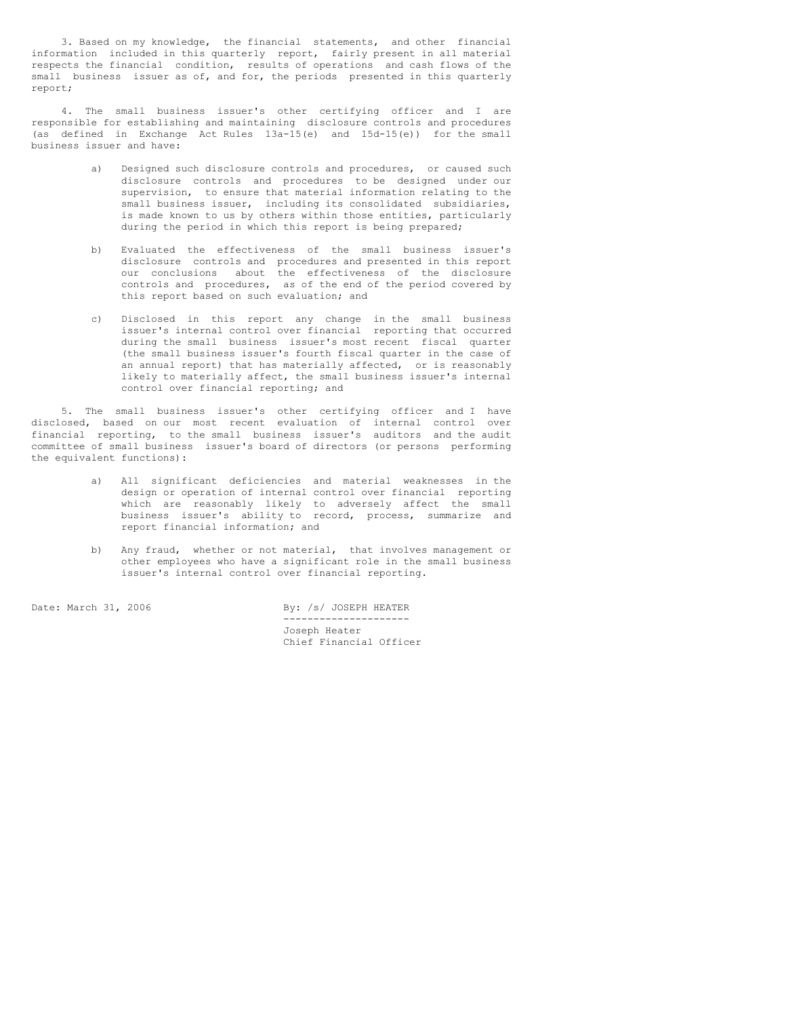3. Based on my knowledge, the financial statements, and other financial information included in this quarterly report, fairly present in all material respects the financial condition, results of operations and cash flows of the small business issuer as of, and for, the periods presented in this quarterly report;

4. The small business issuer's other certifying officer and I are responsible for establishing and maintaining disclosure controls and procedures (as defined in Exchange Act Rules 13a-15(e) and 15d-15(e)) for the small business issuer and have:

- a) Designed such disclosure controls and procedures, or caused such disclosure controls and procedures to be designed under our supervision, to ensure that material information relating to the small business issuer, including its consolidated subsidiaries, is made known to us by others within those entities, particularly during the period in which this report is being prepared;
- b) Evaluated the effectiveness of the small business issuer's disclosure controls and procedures and presented in this report our conclusions about the effectiveness of the disclosure controls and procedures, as of the end of the period covered by this report based on such evaluation; and
- c) Disclosed in this report any change in the small business issuer's internal control over financial reporting that occurred during the small business issuer's most recent fiscal quarter (the small business issuer's fourth fiscal quarter in the case of an annual report) that has materially affected, or is reasonably likely to materially affect, the small business issuer's internal control over financial reporting; and

5. The small business issuer's other certifying officer and I have disclosed, based on our most recent evaluation of internal control over financial reporting, to the small business issuer's auditors and the audit committee of small business issuer's board of directors (or persons performing the equivalent functions):

- a) All significant deficiencies and material weaknesses in the design or operation of internal control over financial reporting which are reasonably likely to adversely affect the small business issuer's ability to record, process, summarize and report financial information; and
- b) Any fraud, whether or not material, that involves management or other employees who have a significant role in the small business issuer's internal control over financial reporting.

Date: March 31, 2006 By: /s/ JOSEPH HEATER

--------------------- Joseph Heater Chief Financial Officer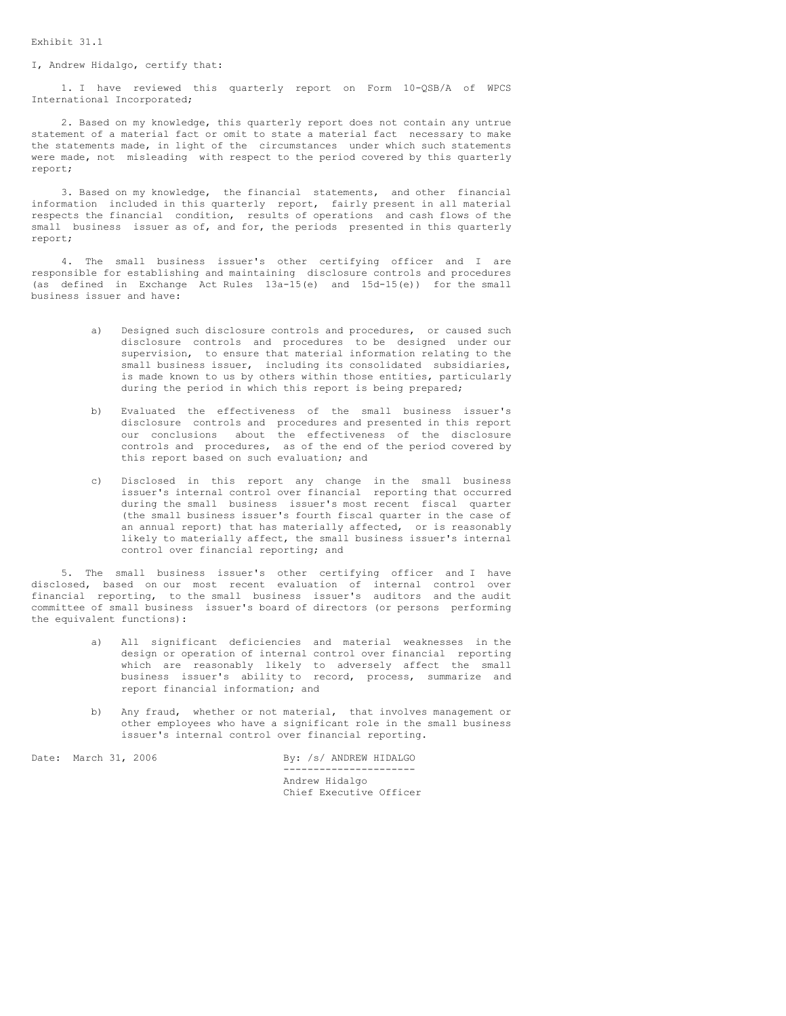Exhibit 31.1

I, Andrew Hidalgo, certify that:

1. I have reviewed this quarterly report on Form 10-QSB/A of WPCS International Incorporated;

2. Based on my knowledge, this quarterly report does not contain any untrue statement of a material fact or omit to state a material fact necessary to make the statements made, in light of the circumstances under which such statements were made, not misleading with respect to the period covered by this quarterly report;

3. Based on my knowledge, the financial statements, and other financial information included in this quarterly report, fairly present in all material respects the financial condition, results of operations and cash flows of the small business issuer as of, and for, the periods presented in this quarterly report;

4. The small business issuer's other certifying officer and I are responsible for establishing and maintaining disclosure controls and procedures (as defined in Exchange Act Rules 13a-15(e) and 15d-15(e)) for the small business issuer and have:

- a) Designed such disclosure controls and procedures, or caused such disclosure controls and procedures to be designed under our supervision, to ensure that material information relating to the small business issuer, including its consolidated subsidiaries, is made known to us by others within those entities, particularly during the period in which this report is being prepared;
- b) Evaluated the effectiveness of the small business issuer's disclosure controls and procedures and presented in this report our conclusions about the effectiveness of the disclosure controls and procedures, as of the end of the period covered by this report based on such evaluation; and
- c) Disclosed in this report any change in the small business issuer's internal control over financial reporting that occurred during the small business issuer's most recent fiscal quarter (the small business issuer's fourth fiscal quarter in the case of an annual report) that has materially affected, or is reasonably likely to materially affect, the small business issuer's internal control over financial reporting; and

5. The small business issuer's other certifying officer and I have disclosed, based on our most recent evaluation of internal control over financial reporting, to the small business issuer's auditors and the audit committee of small business issuer's board of directors (or persons performing the equivalent functions):

- a) All significant deficiencies and material weaknesses in the design or operation of internal control over financial reporting which are reasonably likely to adversely affect the small business issuer's ability to record, process, summarize and report financial information; and
- b) Any fraud, whether or not material, that involves management or other employees who have a significant role in the small business issuer's internal control over financial reporting.

Date: March 31, 2006 By: /s/ ANDREW HIDALGO ---------------------- Andrew Hidalgo Chief Executive Officer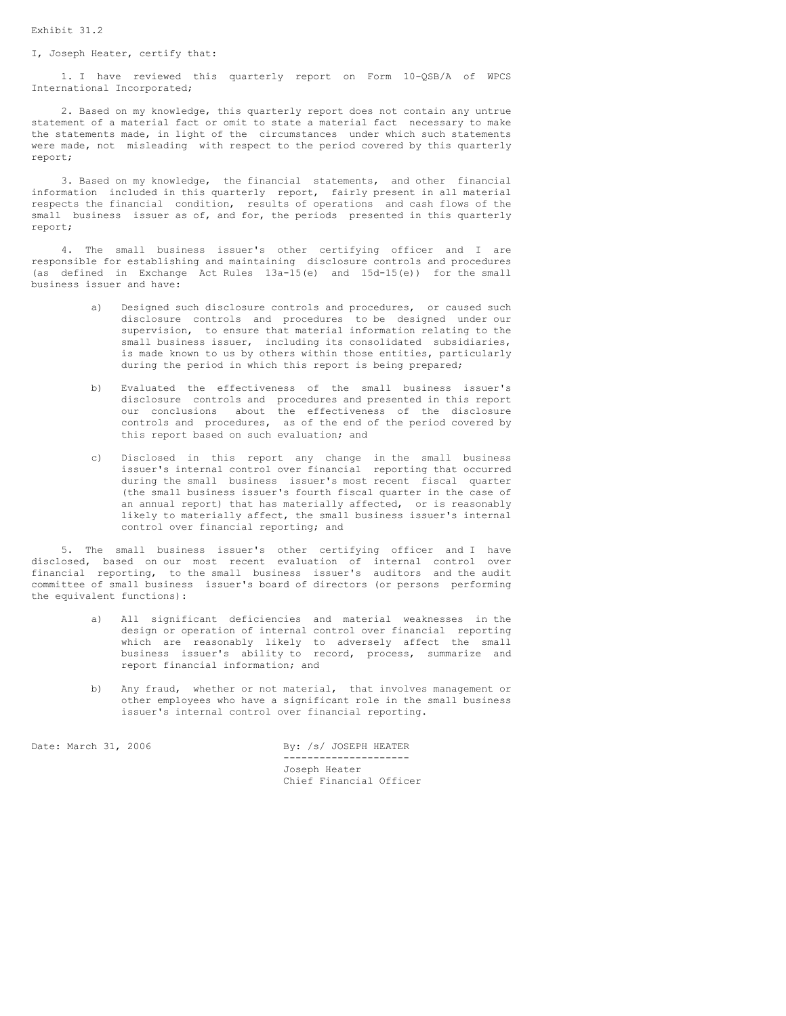### I, Joseph Heater, certify that:

1. I have reviewed this quarterly report on Form 10-QSB/A of WPCS International Incorporated;

2. Based on my knowledge, this quarterly report does not contain any untrue statement of a material fact or omit to state a material fact necessary to make the statements made, in light of the circumstances under which such statements were made, not misleading with respect to the period covered by this quarterly report;

3. Based on my knowledge, the financial statements, and other financial information included in this quarterly report, fairly present in all material respects the financial condition, results of operations and cash flows of the small business issuer as of, and for, the periods presented in this quarterly report;

4. The small business issuer's other certifying officer and I are responsible for establishing and maintaining disclosure controls and procedures (as defined in Exchange Act Rules 13a-15(e) and 15d-15(e)) for the small business issuer and have:

- a) Designed such disclosure controls and procedures, or caused such disclosure controls and procedures to be designed under our supervision, to ensure that material information relating to the small business issuer, including its consolidated subsidiaries, is made known to us by others within those entities, particularly during the period in which this report is being prepared;
- b) Evaluated the effectiveness of the small business issuer's disclosure controls and procedures and presented in this report our conclusions about the effectiveness of the disclosure controls and procedures, as of the end of the period covered by this report based on such evaluation; and
- c) Disclosed in this report any change in the small business issuer's internal control over financial reporting that occurred during the small business issuer's most recent fiscal quarter (the small business issuer's fourth fiscal quarter in the case of an annual report) that has materially affected, or is reasonably likely to materially affect, the small business issuer's internal control over financial reporting; and

5. The small business issuer's other certifying officer and I have disclosed, based on our most recent evaluation of internal control over financial reporting, to the small business issuer's auditors and the audit committee of small business issuer's board of directors (or persons performing the equivalent functions):

- All significant deficiencies and material weaknesses in the design or operation of internal control over financial reporting which are reasonably likely to adversely affect the small business issuer's ability to record, process, summarize and report financial information; and
- b) Any fraud, whether or not material, that involves management or other employees who have a significant role in the small business issuer's internal control over financial reporting.

Date: March 31, 2006 By: /s/ JOSEPH HEATER --------------------- Joseph Heater Chief Financial Officer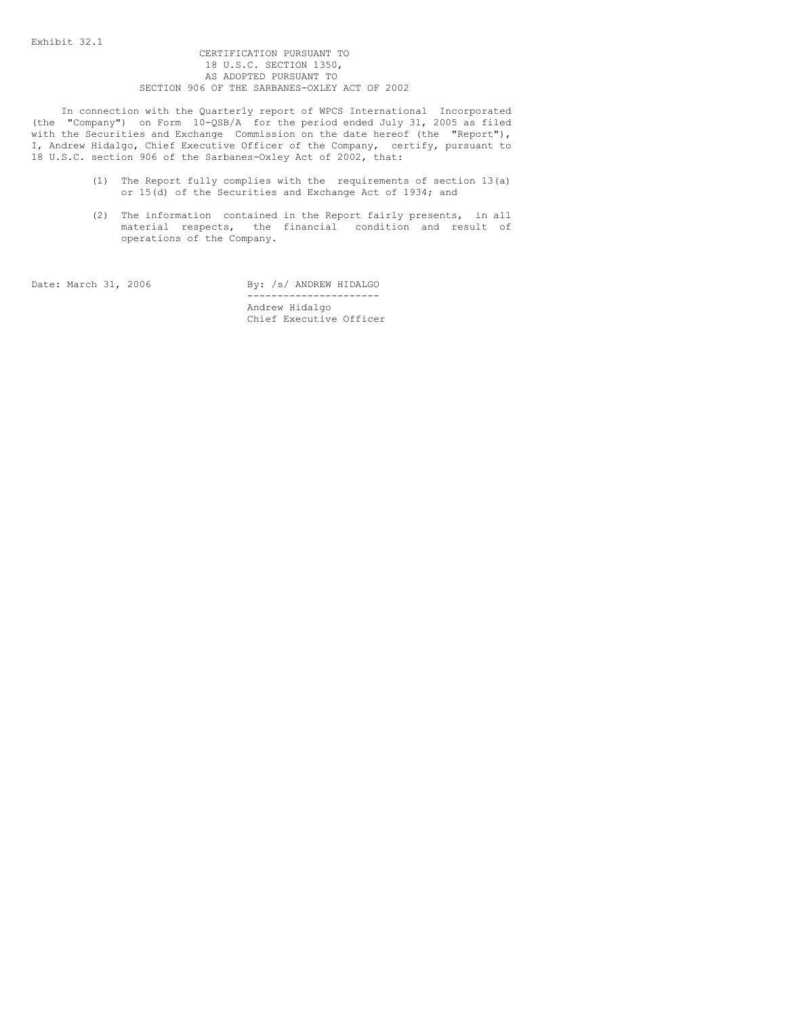CERTIFICATION PURSUANT TO 18 U.S.C. SECTION 1350, AS ADOPTED PURSUANT TO SECTION 906 OF THE SARBANES-OXLEY ACT OF 2002

In connection with the Quarterly report of WPCS International Incorporated (the "Company") on Form 10-QSB/A for the period ended July 31, 2005 as filed with the Securities and Exchange Commission on the date hereof (the "Report"), I, Andrew Hidalgo, Chief Executive Officer of the Company, certify, pursuant to 18 U.S.C. section 906 of the Sarbanes-Oxley Act of 2002, that:

- (1) The Report fully complies with the requirements of section 13(a) or 15(d) of the Securities and Exchange Act of 1934; and
- (2) The information contained in the Report fairly presents, in all material respects, the financial condition and result of operations of the Company.

Date: March 31, 2006 By: /s/ ANDREW HIDALGO ---------------------- Andrew Hidalgo Chief Executive Officer